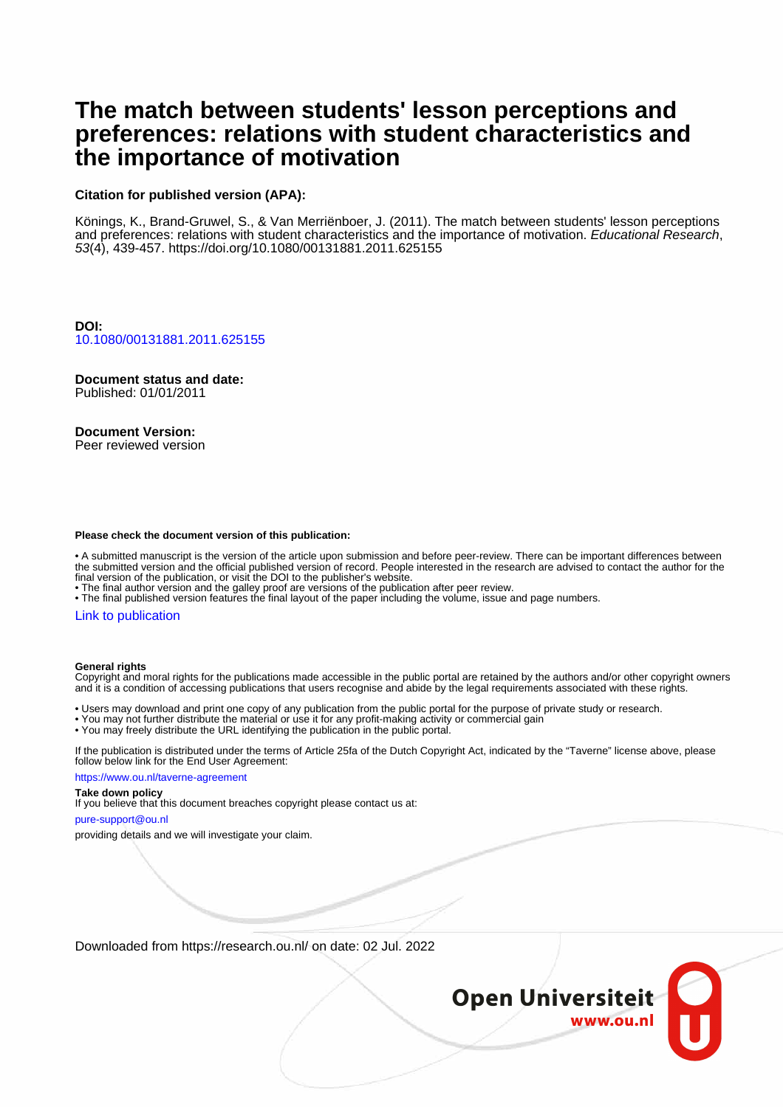# **The match between students' lesson perceptions and preferences: relations with student characteristics and the importance of motivation**

#### **Citation for published version (APA):**

Könings, K., Brand-Gruwel, S., & Van Merriënboer, J. (2011). The match between students' lesson perceptions and preferences: relations with student characteristics and the importance of motivation. Educational Research, 53(4), 439-457.<https://doi.org/10.1080/00131881.2011.625155>

**DOI:** [10.1080/00131881.2011.625155](https://doi.org/10.1080/00131881.2011.625155)

**Document status and date:** Published: 01/01/2011

#### **Document Version:**

Peer reviewed version

#### **Please check the document version of this publication:**

• A submitted manuscript is the version of the article upon submission and before peer-review. There can be important differences between the submitted version and the official published version of record. People interested in the research are advised to contact the author for the final version of the publication, or visit the DOI to the publisher's website.

• The final author version and the galley proof are versions of the publication after peer review.

• The final published version features the final layout of the paper including the volume, issue and page numbers.

#### [Link to publication](https://research.ou.nl/en/publications/2afedbce-9a08-4071-a9ff-95dd9c107d83)

#### **General rights**

Copyright and moral rights for the publications made accessible in the public portal are retained by the authors and/or other copyright owners and it is a condition of accessing publications that users recognise and abide by the legal requirements associated with these rights.

• Users may download and print one copy of any publication from the public portal for the purpose of private study or research.

- You may not further distribute the material or use it for any profit-making activity or commercial gain
- You may freely distribute the URL identifying the publication in the public portal.

If the publication is distributed under the terms of Article 25fa of the Dutch Copyright Act, indicated by the "Taverne" license above, please follow below link for the End User Agreement:

https://www.ou.nl/taverne-agreement

#### **Take down policy**

If you believe that this document breaches copyright please contact us at:

pure-support@ou.nl

providing details and we will investigate your claim.

Downloaded from https://research.ou.nl/ on date: 02 Jul. 2022

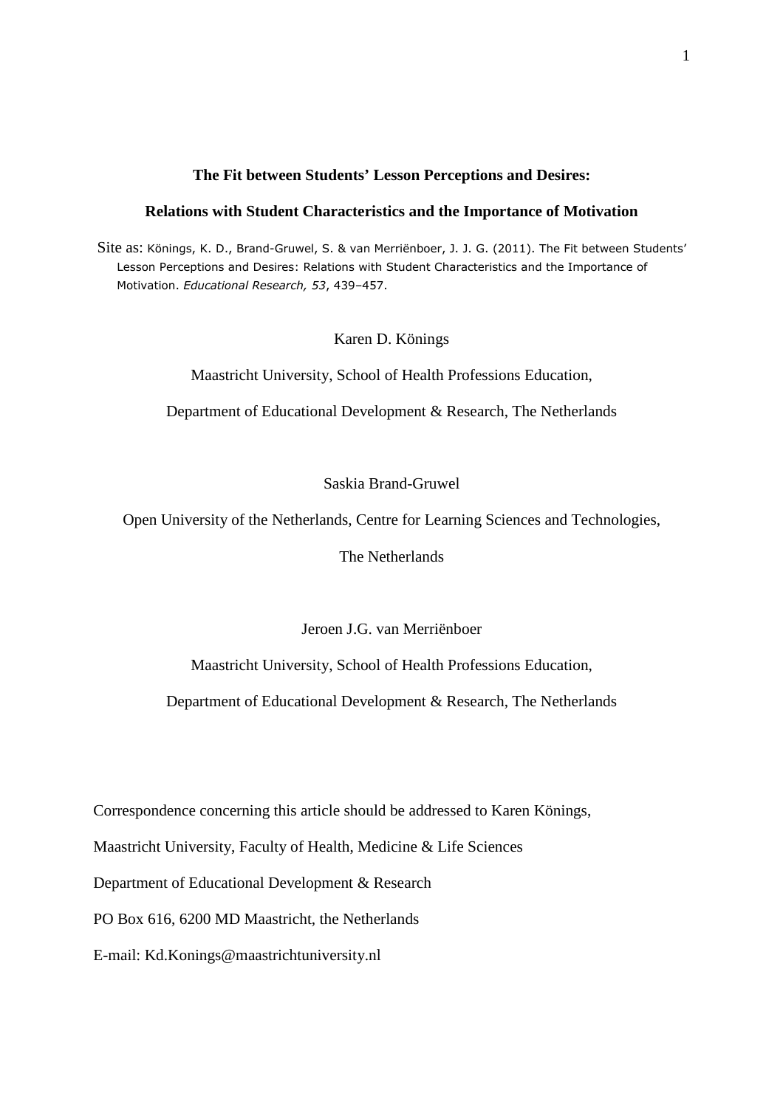#### **The Fit between Students' Lesson Perceptions and Desires:**

### **Relations with Student Characteristics and the Importance of Motivation**

 Site as: Könings, K. D., Brand-Gruwel, S. & van Merriënboer, J. J. G. (2011). The Fit between Students' Lesson Perceptions and Desires: Relations with Student Characteristics and the Importance of Motivation. *Educational Research, 53*, 439–457.

Karen D. Könings

Maastricht University, School of Health Professions Education,

Department of Educational Development & Research, The Netherlands

Saskia Brand-Gruwel

Open University of the Netherlands, Centre for Learning Sciences and Technologies,

The Netherlands

Jeroen J.G. van Merriënboer

Maastricht University, School of Health Professions Education,

Department of Educational Development & Research, The Netherlands

Correspondence concerning this article should be addressed to Karen Könings,

Maastricht University, Faculty of Health, Medicine & Life Sciences

Department of Educational Development & Research

PO Box 616, 6200 MD Maastricht, the Netherlands

E-mail: Kd.Konings@maastrichtuniversity.nl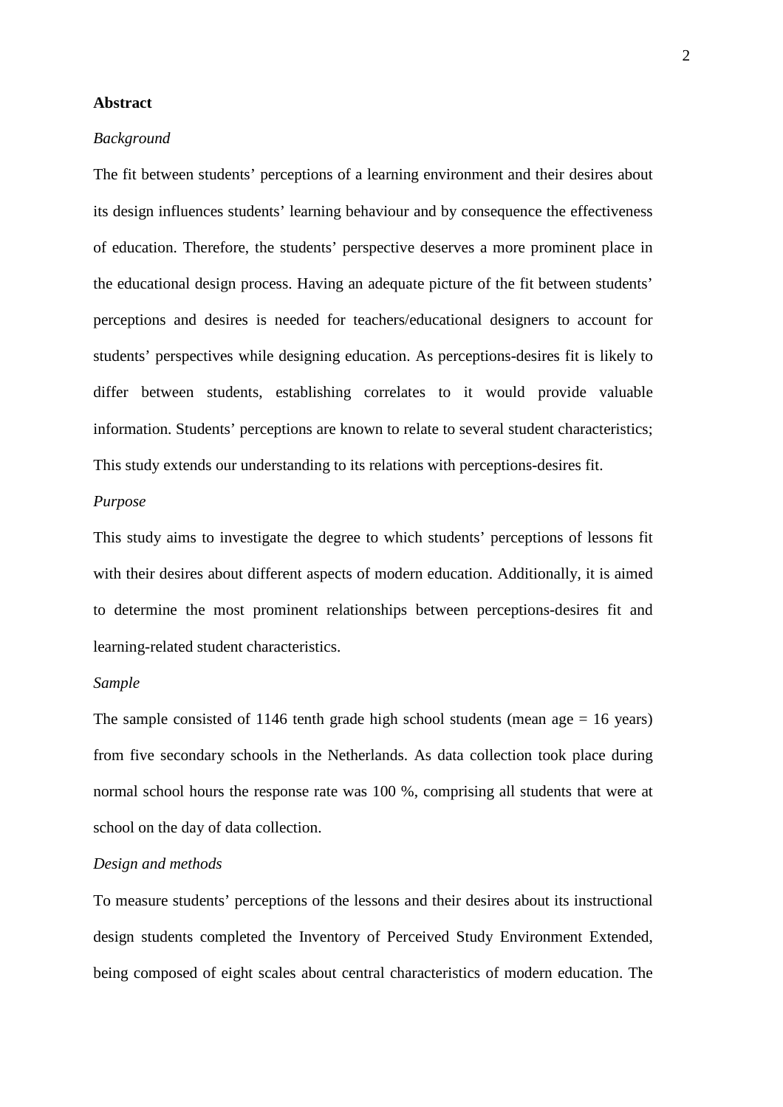#### **Abstract**

#### *Background*

The fit between students' perceptions of a learning environment and their desires about its design influences students' learning behaviour and by consequence the effectiveness of education. Therefore, the students' perspective deserves a more prominent place in the educational design process. Having an adequate picture of the fit between students' perceptions and desires is needed for teachers/educational designers to account for students' perspectives while designing education. As perceptions-desires fit is likely to differ between students, establishing correlates to it would provide valuable information. Students' perceptions are known to relate to several student characteristics; This study extends our understanding to its relations with perceptions-desires fit.

### *Purpose*

This study aims to investigate the degree to which students' perceptions of lessons fit with their desires about different aspects of modern education. Additionally, it is aimed to determine the most prominent relationships between perceptions-desires fit and learning-related student characteristics.

#### *Sample*

The sample consisted of 1146 tenth grade high school students (mean age  $= 16$  years) from five secondary schools in the Netherlands. As data collection took place during normal school hours the response rate was 100 %, comprising all students that were at school on the day of data collection.

#### *Design and methods*

To measure students' perceptions of the lessons and their desires about its instructional design students completed the Inventory of Perceived Study Environment Extended, being composed of eight scales about central characteristics of modern education. The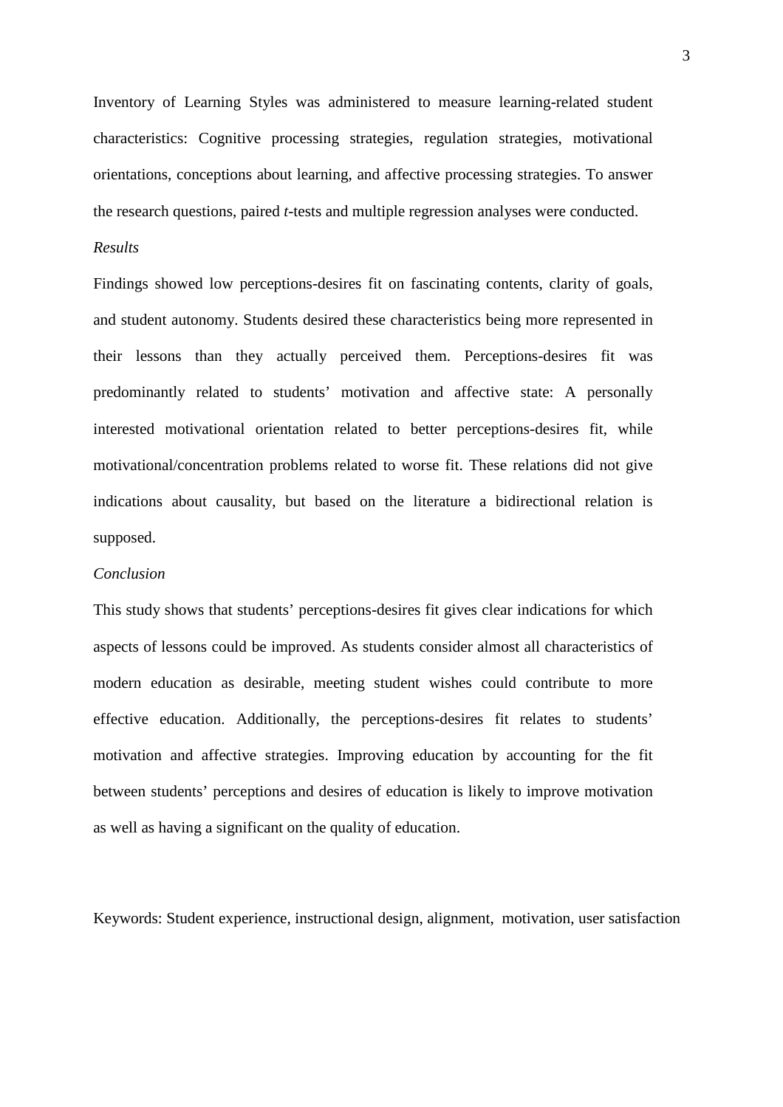Inventory of Learning Styles was administered to measure learning-related student characteristics: Cognitive processing strategies, regulation strategies, motivational orientations, conceptions about learning, and affective processing strategies. To answer the research questions, paired *t*-tests and multiple regression analyses were conducted.

#### *Results*

Findings showed low perceptions-desires fit on fascinating contents, clarity of goals, and student autonomy. Students desired these characteristics being more represented in their lessons than they actually perceived them. Perceptions-desires fit was predominantly related to students' motivation and affective state: A personally interested motivational orientation related to better perceptions-desires fit, while motivational/concentration problems related to worse fit. These relations did not give indications about causality, but based on the literature a bidirectional relation is supposed.

#### *Conclusion*

This study shows that students' perceptions-desires fit gives clear indications for which aspects of lessons could be improved. As students consider almost all characteristics of modern education as desirable, meeting student wishes could contribute to more effective education. Additionally, the perceptions-desires fit relates to students' motivation and affective strategies. Improving education by accounting for the fit between students' perceptions and desires of education is likely to improve motivation as well as having a significant on the quality of education.

Keywords: Student experience, instructional design, alignment, motivation, user satisfaction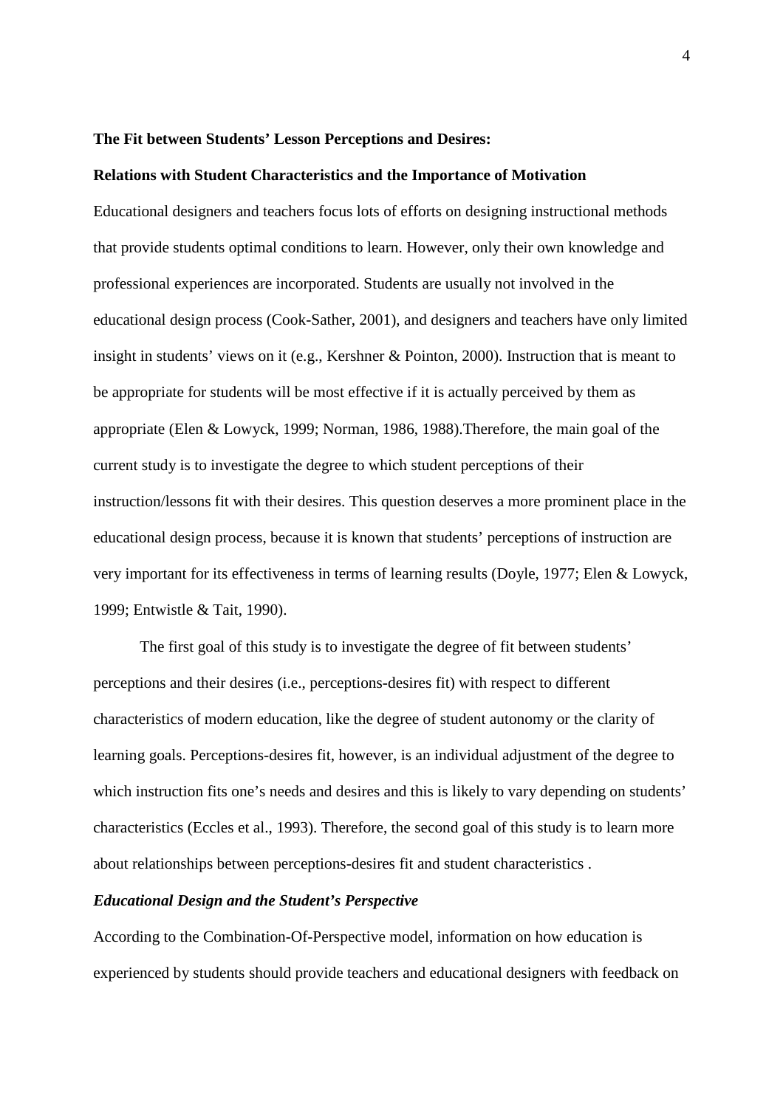#### **The Fit between Students' Lesson Perceptions and Desires:**

#### **Relations with Student Characteristics and the Importance of Motivation**

Educational designers and teachers focus lots of efforts on designing instructional methods that provide students optimal conditions to learn. However, only their own knowledge and professional experiences are incorporated. Students are usually not involved in the educational design process (Cook-Sather, 2001), and designers and teachers have only limited insight in students' views on it (e.g., Kershner & Pointon, 2000). Instruction that is meant to be appropriate for students will be most effective if it is actually perceived by them as appropriate (Elen & Lowyck, 1999; Norman, 1986, 1988).Therefore, the main goal of the current study is to investigate the degree to which student perceptions of their instruction/lessons fit with their desires. This question deserves a more prominent place in the educational design process, because it is known that students' perceptions of instruction are very important for its effectiveness in terms of learning results (Doyle, 1977; Elen & Lowyck, 1999; Entwistle & Tait, 1990).

The first goal of this study is to investigate the degree of fit between students' perceptions and their desires (i.e., perceptions-desires fit) with respect to different characteristics of modern education, like the degree of student autonomy or the clarity of learning goals. Perceptions-desires fit, however, is an individual adjustment of the degree to which instruction fits one's needs and desires and this is likely to vary depending on students' characteristics (Eccles et al., 1993). Therefore, the second goal of this study is to learn more about relationships between perceptions-desires fit and student characteristics .

### *Educational Design and the Student's Perspective*

According to the Combination-Of-Perspective model, information on how education is experienced by students should provide teachers and educational designers with feedback on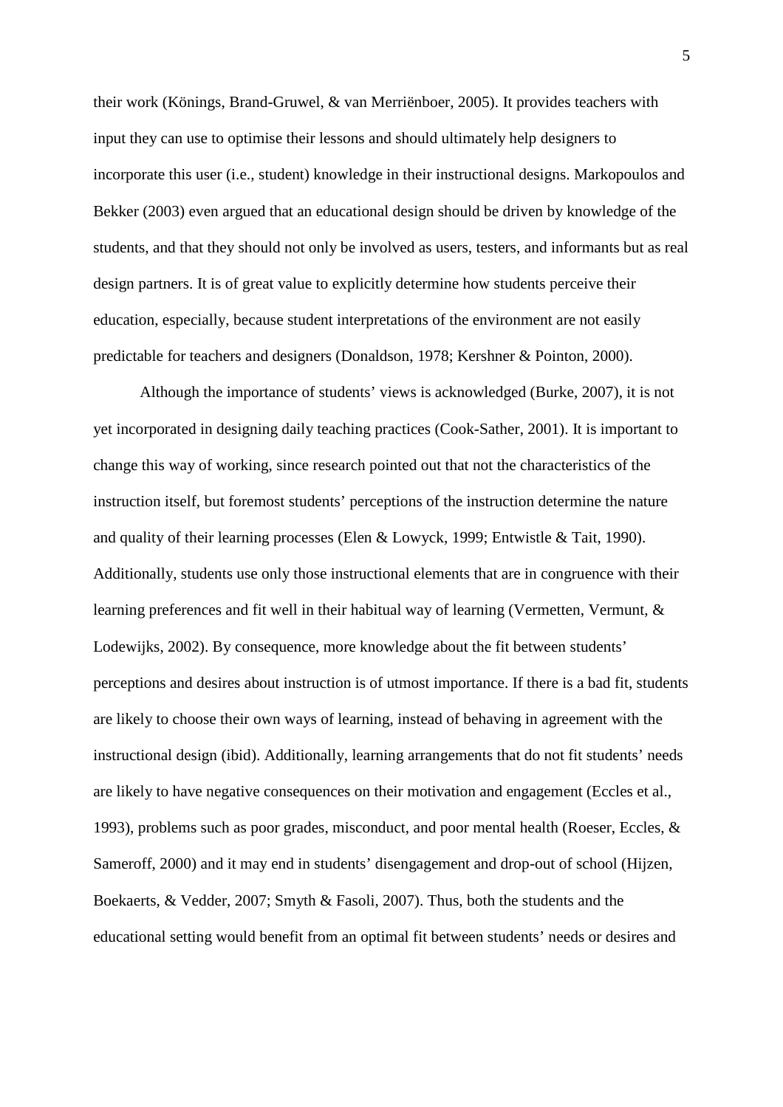their work (Könings, Brand-Gruwel, & van Merriënboer, 2005). It provides teachers with input they can use to optimise their lessons and should ultimately help designers to incorporate this user (i.e., student) knowledge in their instructional designs. Markopoulos and Bekker (2003) even argued that an educational design should be driven by knowledge of the students, and that they should not only be involved as users, testers, and informants but as real design partners. It is of great value to explicitly determine how students perceive their education, especially, because student interpretations of the environment are not easily predictable for teachers and designers (Donaldson, 1978; Kershner & Pointon, 2000).

Although the importance of students' views is acknowledged (Burke, 2007), it is not yet incorporated in designing daily teaching practices (Cook-Sather, 2001). It is important to change this way of working, since research pointed out that not the characteristics of the instruction itself, but foremost students' perceptions of the instruction determine the nature and quality of their learning processes (Elen & Lowyck, 1999; Entwistle & Tait, 1990). Additionally, students use only those instructional elements that are in congruence with their learning preferences and fit well in their habitual way of learning (Vermetten, Vermunt, & Lodewijks, 2002). By consequence, more knowledge about the fit between students' perceptions and desires about instruction is of utmost importance. If there is a bad fit, students are likely to choose their own ways of learning, instead of behaving in agreement with the instructional design (ibid). Additionally, learning arrangements that do not fit students' needs are likely to have negative consequences on their motivation and engagement (Eccles et al., 1993), problems such as poor grades, misconduct, and poor mental health (Roeser, Eccles, & Sameroff, 2000) and it may end in students' disengagement and drop-out of school (Hijzen, Boekaerts, & Vedder, 2007; Smyth & Fasoli, 2007). Thus, both the students and the educational setting would benefit from an optimal fit between students' needs or desires and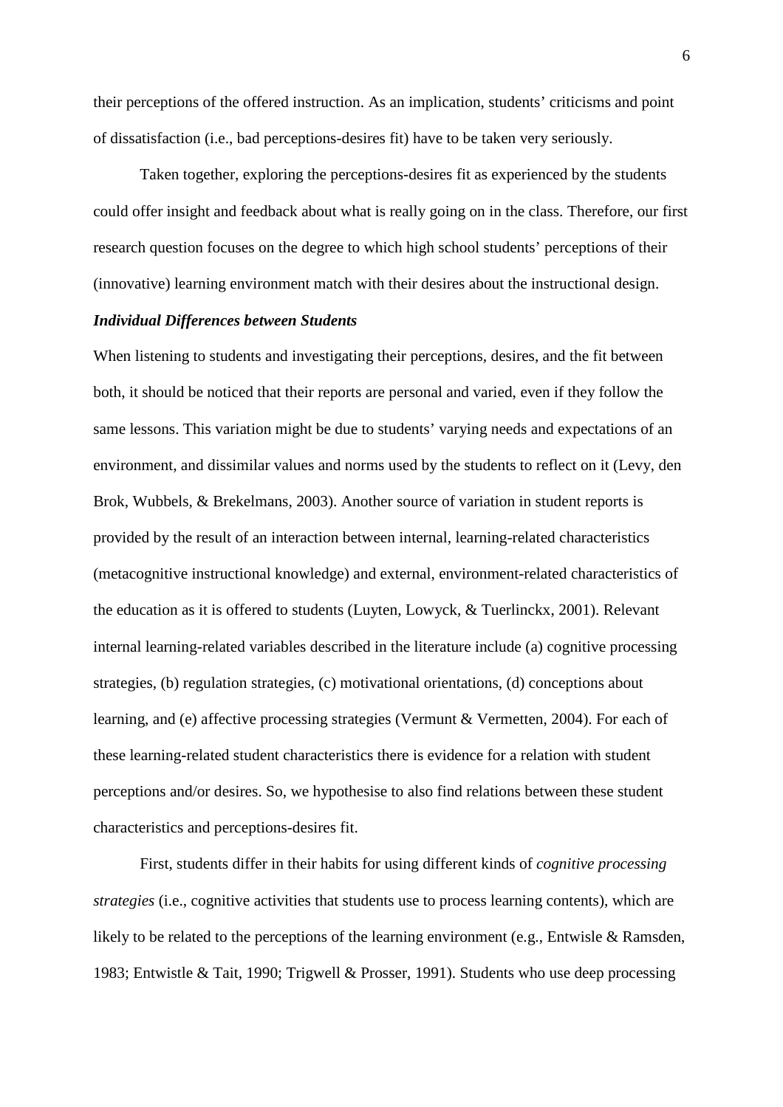their perceptions of the offered instruction. As an implication, students' criticisms and point of dissatisfaction (i.e., bad perceptions-desires fit) have to be taken very seriously.

Taken together, exploring the perceptions-desires fit as experienced by the students could offer insight and feedback about what is really going on in the class. Therefore, our first research question focuses on the degree to which high school students' perceptions of their (innovative) learning environment match with their desires about the instructional design.

### *Individual Differences between Students*

When listening to students and investigating their perceptions, desires, and the fit between both, it should be noticed that their reports are personal and varied, even if they follow the same lessons. This variation might be due to students' varying needs and expectations of an environment, and dissimilar values and norms used by the students to reflect on it (Levy, den Brok, Wubbels, & Brekelmans, 2003). Another source of variation in student reports is provided by the result of an interaction between internal, learning-related characteristics (metacognitive instructional knowledge) and external, environment-related characteristics of the education as it is offered to students (Luyten, Lowyck, & Tuerlinckx, 2001). Relevant internal learning-related variables described in the literature include (a) cognitive processing strategies, (b) regulation strategies, (c) motivational orientations, (d) conceptions about learning, and (e) affective processing strategies (Vermunt & Vermetten, 2004). For each of these learning-related student characteristics there is evidence for a relation with student perceptions and/or desires. So, we hypothesise to also find relations between these student characteristics and perceptions-desires fit.

First, students differ in their habits for using different kinds of *cognitive processing strategies* (i.e., cognitive activities that students use to process learning contents), which are likely to be related to the perceptions of the learning environment (e.g., Entwisle & Ramsden, 1983; Entwistle & Tait, 1990; Trigwell & Prosser, 1991). Students who use deep processing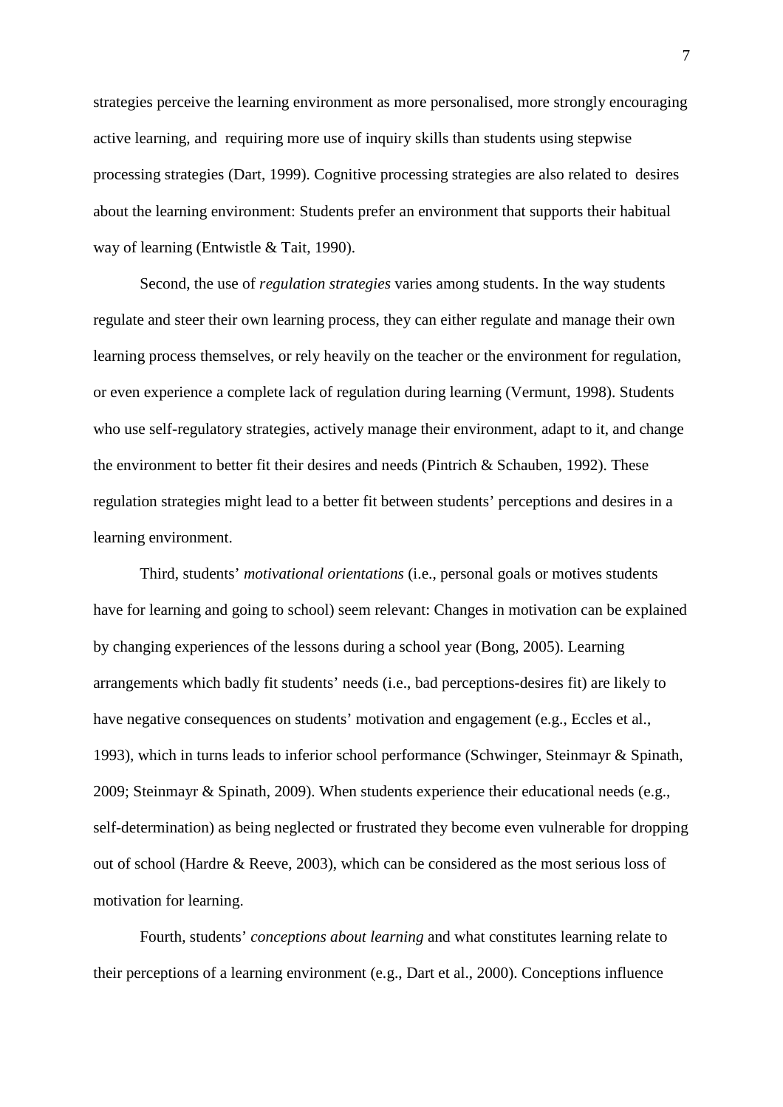strategies perceive the learning environment as more personalised, more strongly encouraging active learning, and requiring more use of inquiry skills than students using stepwise processing strategies (Dart, 1999). Cognitive processing strategies are also related to desires about the learning environment: Students prefer an environment that supports their habitual way of learning (Entwistle & Tait, 1990).

Second, the use of *regulation strategies* varies among students. In the way students regulate and steer their own learning process, they can either regulate and manage their own learning process themselves, or rely heavily on the teacher or the environment for regulation, or even experience a complete lack of regulation during learning (Vermunt, 1998). Students who use self-regulatory strategies, actively manage their environment, adapt to it, and change the environment to better fit their desires and needs (Pintrich & Schauben, 1992). These regulation strategies might lead to a better fit between students' perceptions and desires in a learning environment.

Third, students' *motivational orientations* (i.e., personal goals or motives students have for learning and going to school) seem relevant: Changes in motivation can be explained by changing experiences of the lessons during a school year (Bong, 2005). Learning arrangements which badly fit students' needs (i.e., bad perceptions-desires fit) are likely to have negative consequences on students' motivation and engagement (e.g., Eccles et al., 1993), which in turns leads to inferior school performance (Schwinger, Steinmayr & Spinath, 2009; Steinmayr & Spinath, 2009). When students experience their educational needs (e.g., self-determination) as being neglected or frustrated they become even vulnerable for dropping out of school (Hardre & Reeve, 2003), which can be considered as the most serious loss of motivation for learning.

Fourth, students' *conceptions about learning* and what constitutes learning relate to their perceptions of a learning environment (e.g., Dart et al., 2000). Conceptions influence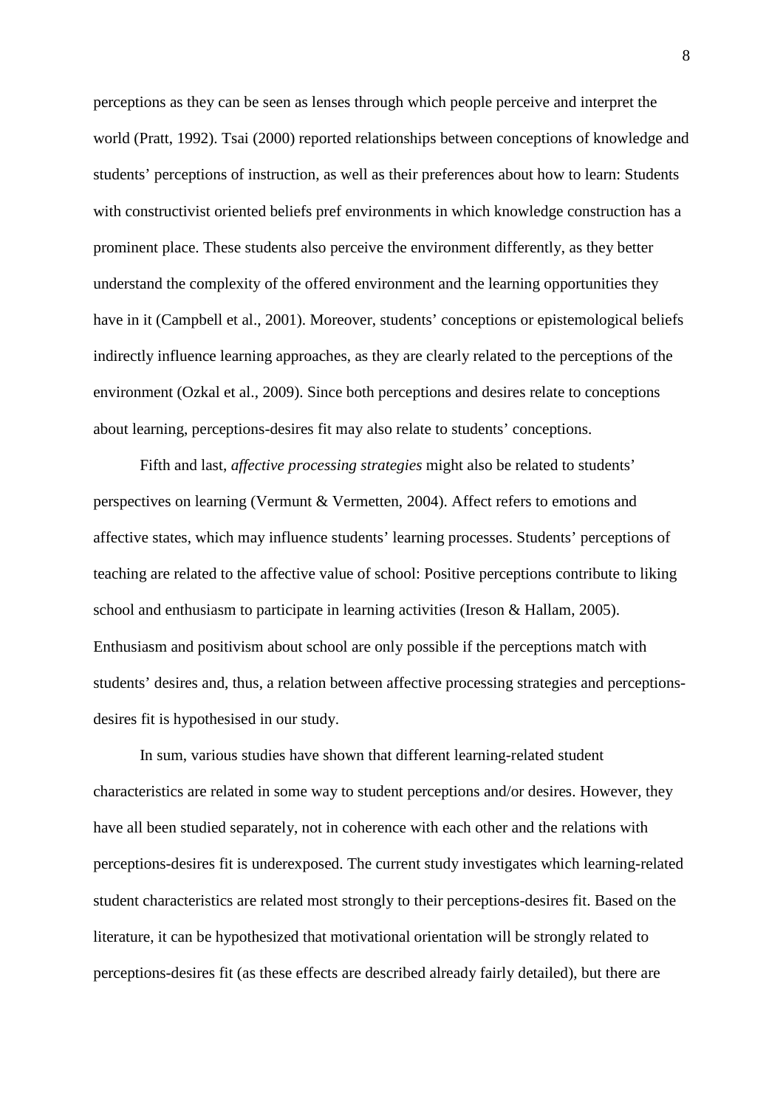perceptions as they can be seen as lenses through which people perceive and interpret the world (Pratt, 1992). Tsai (2000) reported relationships between conceptions of knowledge and students' perceptions of instruction, as well as their preferences about how to learn: Students with constructivist oriented beliefs pref environments in which knowledge construction has a prominent place. These students also perceive the environment differently, as they better understand the complexity of the offered environment and the learning opportunities they have in it (Campbell et al., 2001). Moreover, students' conceptions or epistemological beliefs indirectly influence learning approaches, as they are clearly related to the perceptions of the environment (Ozkal et al., 2009). Since both perceptions and desires relate to conceptions about learning, perceptions-desires fit may also relate to students' conceptions.

Fifth and last, *affective processing strategies* might also be related to students' perspectives on learning (Vermunt & Vermetten, 2004). Affect refers to emotions and affective states, which may influence students' learning processes. Students' perceptions of teaching are related to the affective value of school: Positive perceptions contribute to liking school and enthusiasm to participate in learning activities (Ireson & Hallam, 2005). Enthusiasm and positivism about school are only possible if the perceptions match with students' desires and, thus, a relation between affective processing strategies and perceptionsdesires fit is hypothesised in our study.

In sum, various studies have shown that different learning-related student characteristics are related in some way to student perceptions and/or desires. However, they have all been studied separately, not in coherence with each other and the relations with perceptions-desires fit is underexposed. The current study investigates which learning-related student characteristics are related most strongly to their perceptions-desires fit. Based on the literature, it can be hypothesized that motivational orientation will be strongly related to perceptions-desires fit (as these effects are described already fairly detailed), but there are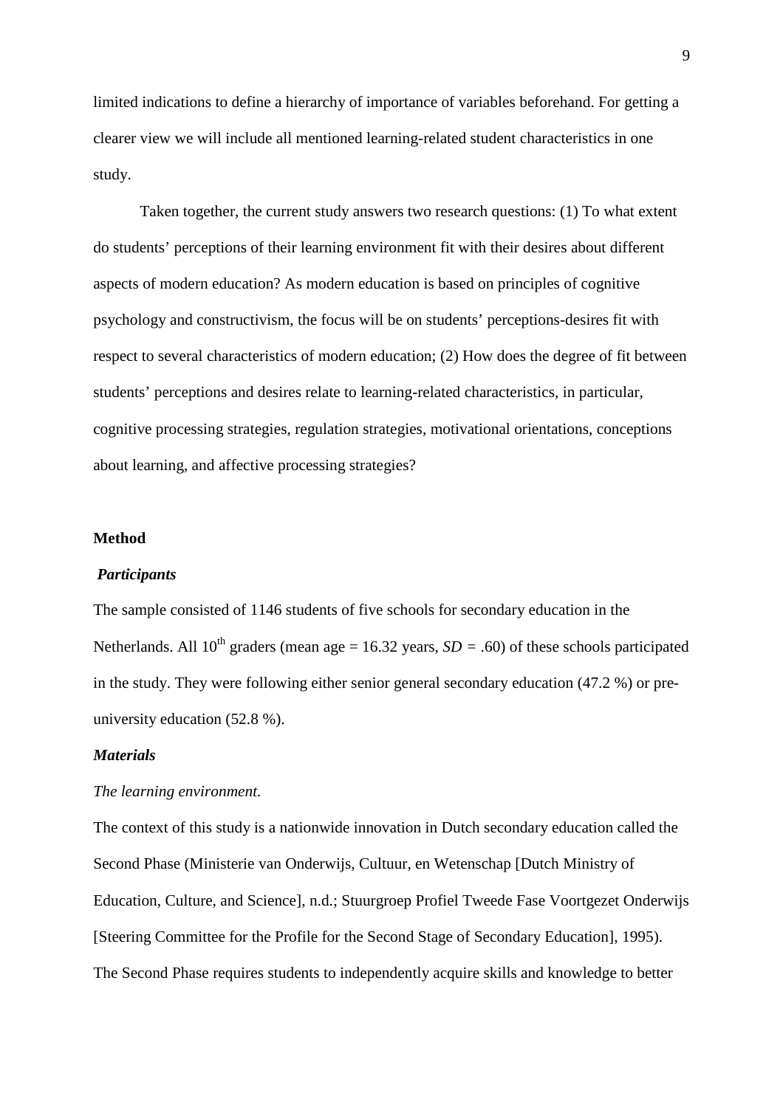limited indications to define a hierarchy of importance of variables beforehand. For getting a clearer view we will include all mentioned learning-related student characteristics in one study.

Taken together, the current study answers two research questions: (1) To what extent do students' perceptions of their learning environment fit with their desires about different aspects of modern education? As modern education is based on principles of cognitive psychology and constructivism, the focus will be on students' perceptions-desires fit with respect to several characteristics of modern education; (2) How does the degree of fit between students' perceptions and desires relate to learning-related characteristics, in particular, cognitive processing strategies, regulation strategies, motivational orientations, conceptions about learning, and affective processing strategies?

#### **Method**

#### *Participants*

The sample consisted of 1146 students of five schools for secondary education in the Netherlands. All 10<sup>th</sup> graders (mean age = 16.32 years,  $SD = .60$ ) of these schools participated in the study. They were following either senior general secondary education (47.2 %) or preuniversity education (52.8 %).

### *Materials*

#### *The learning environment.*

The context of this study is a nationwide innovation in Dutch secondary education called the Second Phase (Ministerie van Onderwijs, Cultuur, en Wetenschap [Dutch Ministry of Education, Culture, and Science], n.d.; Stuurgroep Profiel Tweede Fase Voortgezet Onderwijs [Steering Committee for the Profile for the Second Stage of Secondary Education], 1995). The Second Phase requires students to independently acquire skills and knowledge to better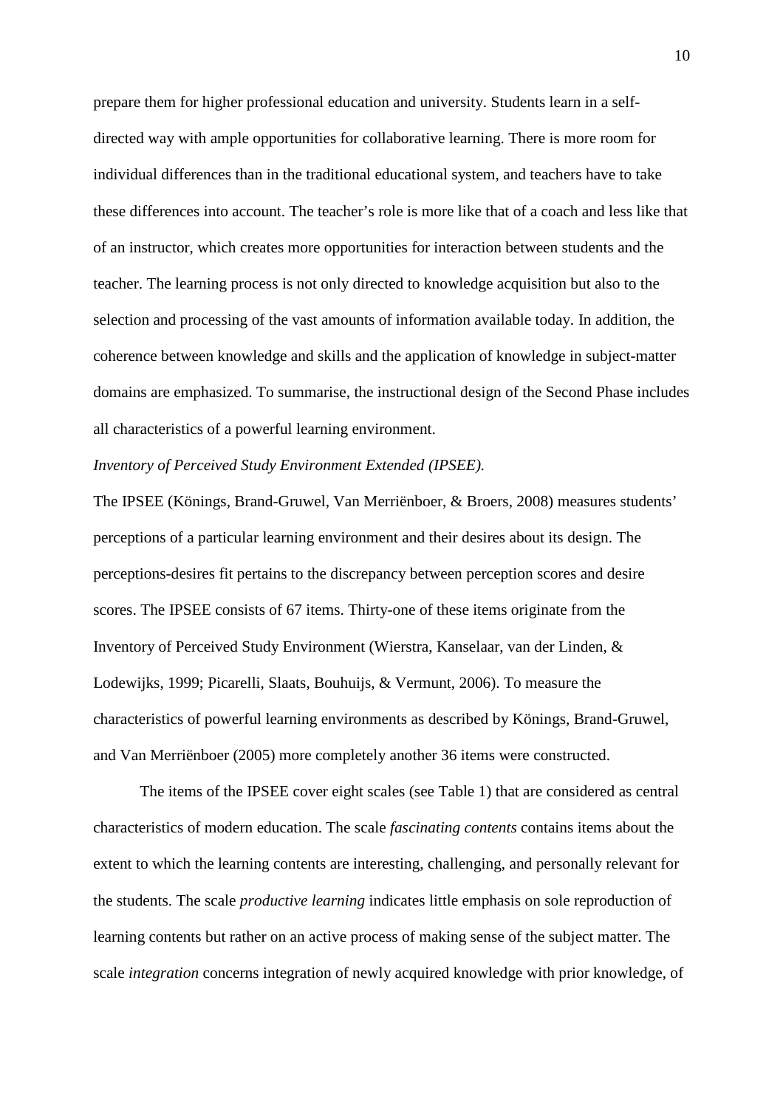prepare them for higher professional education and university. Students learn in a selfdirected way with ample opportunities for collaborative learning. There is more room for individual differences than in the traditional educational system, and teachers have to take these differences into account. The teacher's role is more like that of a coach and less like that of an instructor, which creates more opportunities for interaction between students and the teacher. The learning process is not only directed to knowledge acquisition but also to the selection and processing of the vast amounts of information available today. In addition, the coherence between knowledge and skills and the application of knowledge in subject-matter domains are emphasized. To summarise, the instructional design of the Second Phase includes all characteristics of a powerful learning environment.

#### *Inventory of Perceived Study Environment Extended (IPSEE).*

The IPSEE (Könings, Brand-Gruwel, Van Merriënboer, & Broers, 2008) measures students' perceptions of a particular learning environment and their desires about its design. The perceptions-desires fit pertains to the discrepancy between perception scores and desire scores. The IPSEE consists of 67 items. Thirty-one of these items originate from the Inventory of Perceived Study Environment (Wierstra, Kanselaar, van der Linden, & Lodewijks, 1999; Picarelli, Slaats, Bouhuijs, & Vermunt, 2006). To measure the characteristics of powerful learning environments as described by Könings, Brand-Gruwel, and Van Merriënboer (2005) more completely another 36 items were constructed.

The items of the IPSEE cover eight scales (see Table 1) that are considered as central characteristics of modern education. The scale *fascinating contents* contains items about the extent to which the learning contents are interesting, challenging, and personally relevant for the students. The scale *productive learning* indicates little emphasis on sole reproduction of learning contents but rather on an active process of making sense of the subject matter. The scale *integration* concerns integration of newly acquired knowledge with prior knowledge, of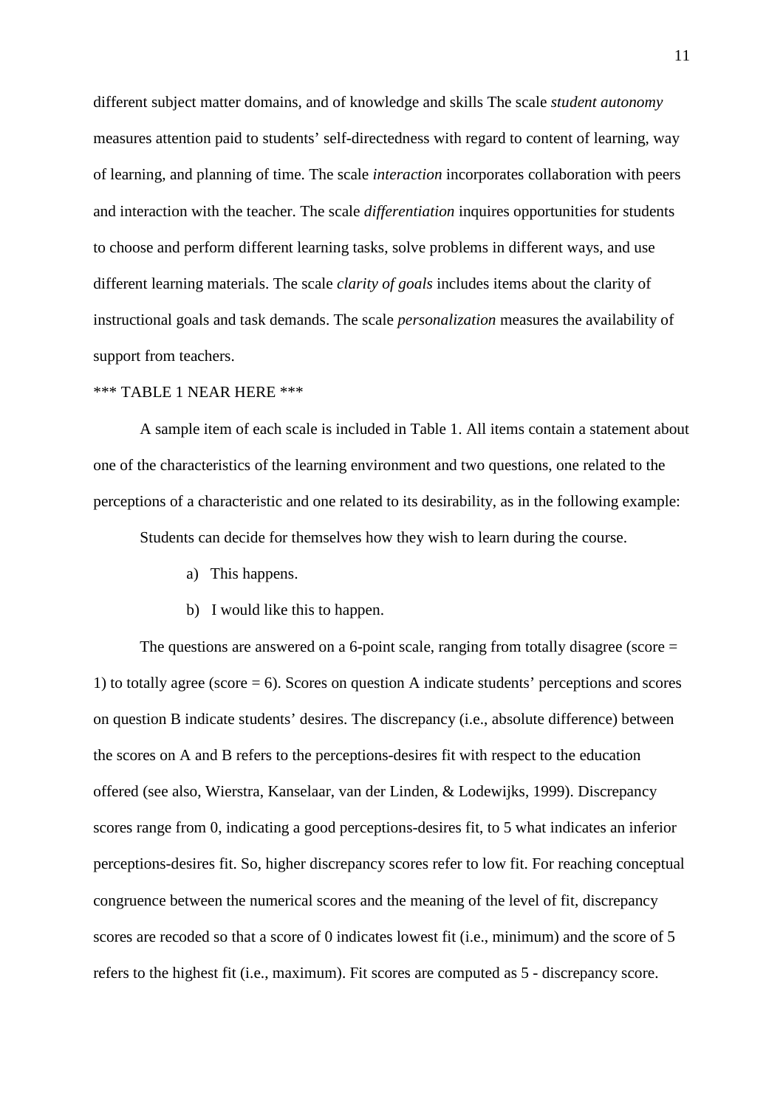different subject matter domains, and of knowledge and skills The scale *student autonomy* measures attention paid to students' self-directedness with regard to content of learning, way of learning, and planning of time. The scale *interaction* incorporates collaboration with peers and interaction with the teacher. The scale *differentiation* inquires opportunities for students to choose and perform different learning tasks, solve problems in different ways, and use different learning materials. The scale *clarity of goals* includes items about the clarity of instructional goals and task demands. The scale *personalization* measures the availability of support from teachers.

### \*\*\* TABLE 1 NEAR HERE \*\*\*

A sample item of each scale is included in Table 1. All items contain a statement about one of the characteristics of the learning environment and two questions, one related to the perceptions of a characteristic and one related to its desirability, as in the following example:

Students can decide for themselves how they wish to learn during the course.

- a) This happens.
- b) I would like this to happen.

The questions are answered on a 6-point scale, ranging from totally disagree (score = 1) to totally agree (score = 6). Scores on question A indicate students' perceptions and scores on question B indicate students' desires. The discrepancy (i.e., absolute difference) between the scores on A and B refers to the perceptions-desires fit with respect to the education offered (see also, Wierstra, Kanselaar, van der Linden, & Lodewijks, 1999). Discrepancy scores range from 0, indicating a good perceptions-desires fit, to 5 what indicates an inferior perceptions-desires fit. So, higher discrepancy scores refer to low fit. For reaching conceptual congruence between the numerical scores and the meaning of the level of fit, discrepancy scores are recoded so that a score of 0 indicates lowest fit (i.e., minimum) and the score of 5 refers to the highest fit (i.e., maximum). Fit scores are computed as 5 - discrepancy score.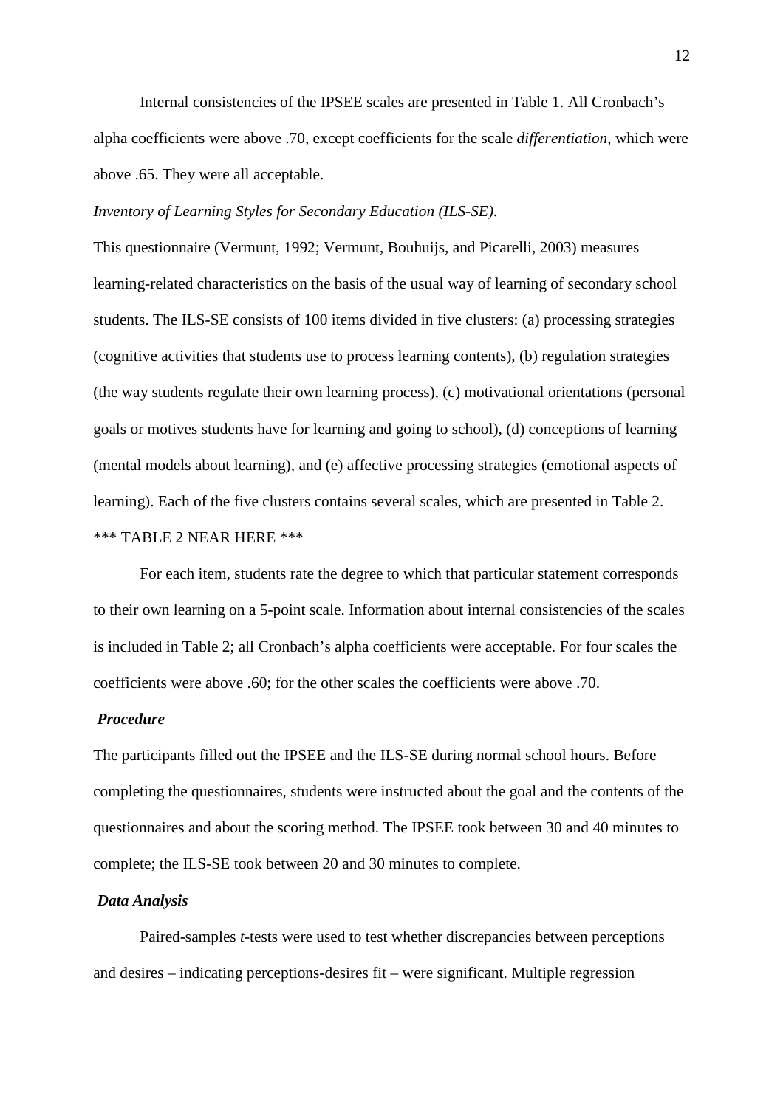Internal consistencies of the IPSEE scales are presented in Table 1. All Cronbach's alpha coefficients were above .70, except coefficients for the scale *differentiation*, which were above .65. They were all acceptable.

#### *Inventory of Learning Styles for Secondary Education (ILS-SE).*

This questionnaire (Vermunt, 1992; Vermunt, Bouhuijs, and Picarelli, 2003) measures learning-related characteristics on the basis of the usual way of learning of secondary school students. The ILS-SE consists of 100 items divided in five clusters: (a) processing strategies (cognitive activities that students use to process learning contents), (b) regulation strategies (the way students regulate their own learning process), (c) motivational orientations (personal goals or motives students have for learning and going to school), (d) conceptions of learning (mental models about learning), and (e) affective processing strategies (emotional aspects of learning). Each of the five clusters contains several scales, which are presented in Table 2. \*\*\* TABLE 2 NEAR HERE \*\*\*

For each item, students rate the degree to which that particular statement corresponds to their own learning on a 5-point scale. Information about internal consistencies of the scales is included in Table 2; all Cronbach's alpha coefficients were acceptable. For four scales the coefficients were above .60; for the other scales the coefficients were above .70.

#### *Procedure*

The participants filled out the IPSEE and the ILS-SE during normal school hours. Before completing the questionnaires, students were instructed about the goal and the contents of the questionnaires and about the scoring method. The IPSEE took between 30 and 40 minutes to complete; the ILS-SE took between 20 and 30 minutes to complete.

#### *Data Analysis*

Paired-samples *t*-tests were used to test whether discrepancies between perceptions and desires – indicating perceptions-desires fit – were significant. Multiple regression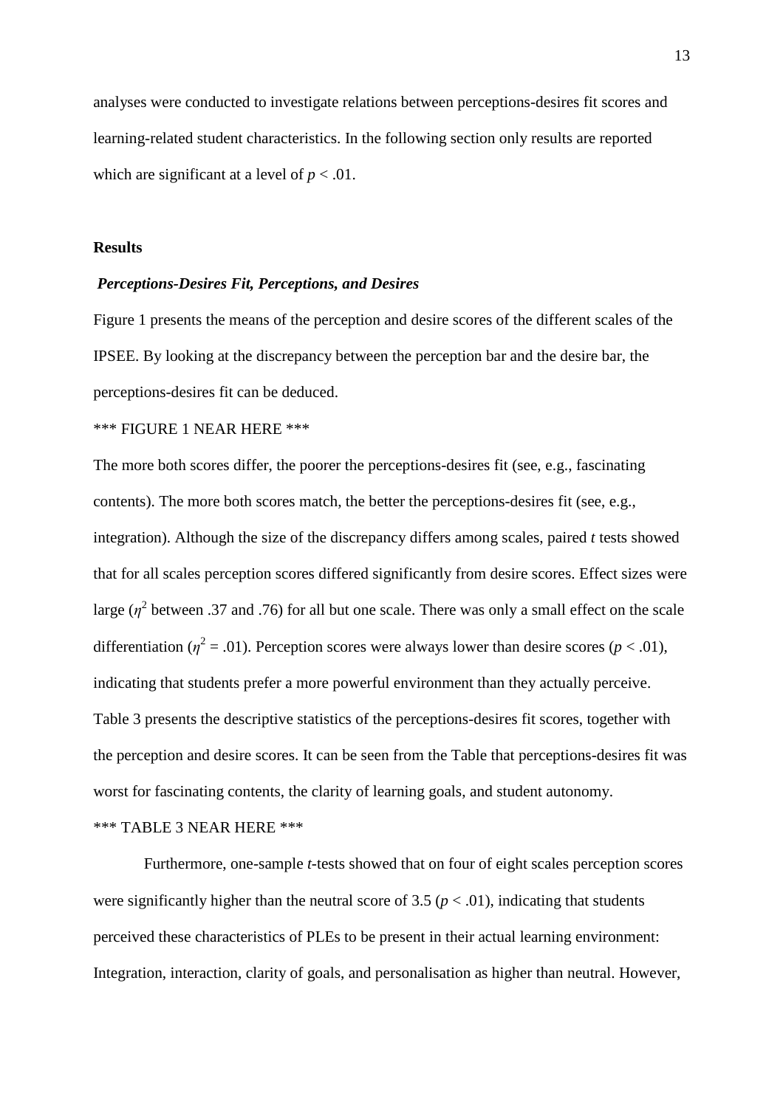analyses were conducted to investigate relations between perceptions-desires fit scores and learning-related student characteristics. In the following section only results are reported which are significant at a level of  $p < .01$ .

#### **Results**

#### *Perceptions-Desires Fit, Perceptions, and Desires*

Figure 1 presents the means of the perception and desire scores of the different scales of the IPSEE. By looking at the discrepancy between the perception bar and the desire bar, the perceptions-desires fit can be deduced.

### \*\*\* FIGURE 1 NEAR HERE \*\*\*

The more both scores differ, the poorer the perceptions-desires fit (see, e.g., fascinating contents). The more both scores match, the better the perceptions-desires fit (see, e.g., integration). Although the size of the discrepancy differs among scales, paired *t* tests showed that for all scales perception scores differed significantly from desire scores. Effect sizes were large ( $\eta^2$  between .37 and .76) for all but one scale. There was only a small effect on the scale differentiation ( $\eta^2$  = .01). Perception scores were always lower than desire scores ( $p < .01$ ), indicating that students prefer a more powerful environment than they actually perceive. Table 3 presents the descriptive statistics of the perceptions-desires fit scores, together with the perception and desire scores. It can be seen from the Table that perceptions-desires fit was worst for fascinating contents, the clarity of learning goals, and student autonomy.

\*\*\* TABLE 3 NEAR HERE \*\*\*

 Furthermore, one-sample *t*-tests showed that on four of eight scales perception scores were significantly higher than the neutral score of 3.5 ( $p < .01$ ), indicating that students perceived these characteristics of PLEs to be present in their actual learning environment: Integration, interaction, clarity of goals, and personalisation as higher than neutral. However,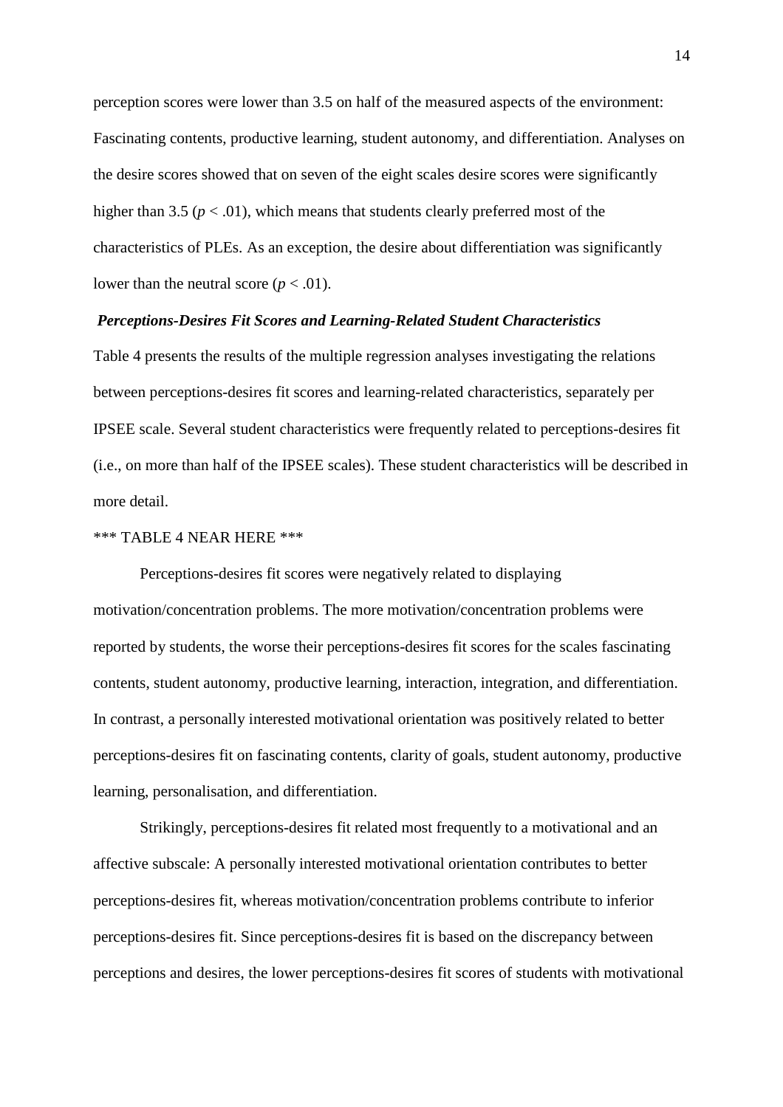perception scores were lower than 3.5 on half of the measured aspects of the environment: Fascinating contents, productive learning, student autonomy, and differentiation. Analyses on the desire scores showed that on seven of the eight scales desire scores were significantly higher than 3.5 ( $p < .01$ ), which means that students clearly preferred most of the characteristics of PLEs. As an exception, the desire about differentiation was significantly lower than the neutral score  $(p < .01)$ .

#### *Perceptions-Desires Fit Scores and Learning-Related Student Characteristics*

Table 4 presents the results of the multiple regression analyses investigating the relations between perceptions-desires fit scores and learning-related characteristics, separately per IPSEE scale. Several student characteristics were frequently related to perceptions-desires fit (i.e., on more than half of the IPSEE scales). These student characteristics will be described in more detail.

#### \*\*\* TABLE 4 NEAR HERE \*\*\*

 Perceptions-desires fit scores were negatively related to displaying motivation/concentration problems. The more motivation/concentration problems were reported by students, the worse their perceptions-desires fit scores for the scales fascinating contents, student autonomy, productive learning, interaction, integration, and differentiation. In contrast, a personally interested motivational orientation was positively related to better perceptions-desires fit on fascinating contents, clarity of goals, student autonomy, productive learning, personalisation, and differentiation.

Strikingly, perceptions-desires fit related most frequently to a motivational and an affective subscale: A personally interested motivational orientation contributes to better perceptions-desires fit, whereas motivation/concentration problems contribute to inferior perceptions-desires fit. Since perceptions-desires fit is based on the discrepancy between perceptions and desires, the lower perceptions-desires fit scores of students with motivational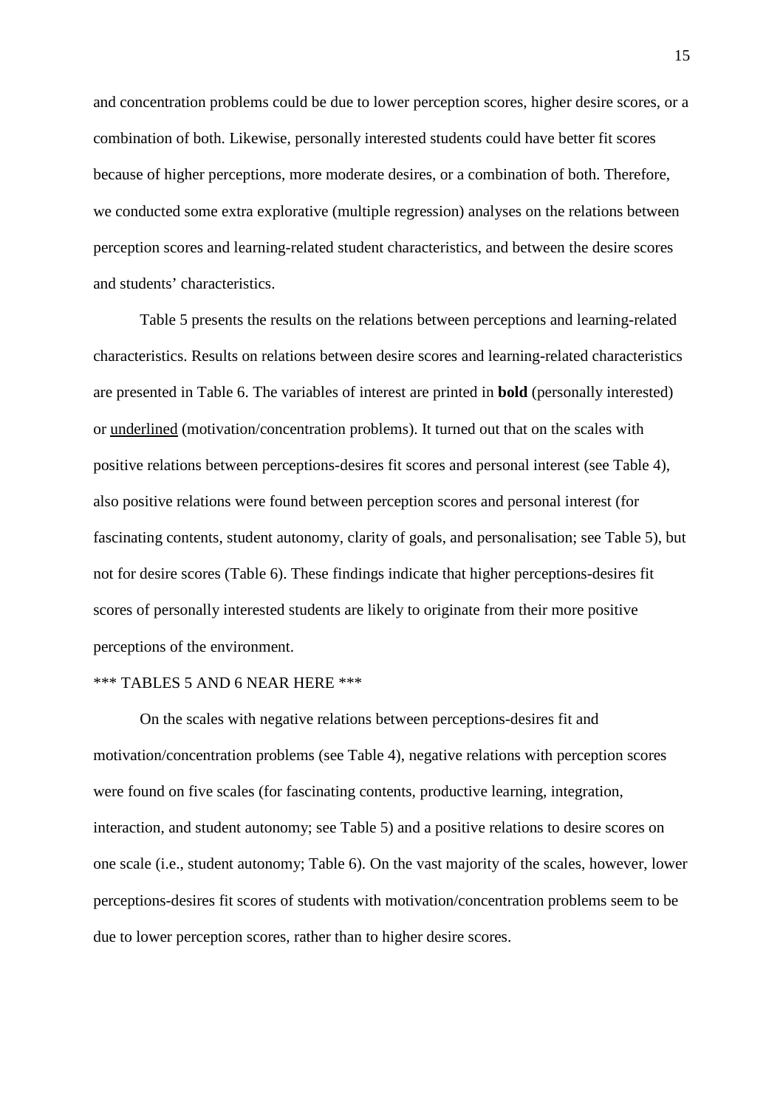and concentration problems could be due to lower perception scores, higher desire scores, or a combination of both. Likewise, personally interested students could have better fit scores because of higher perceptions, more moderate desires, or a combination of both. Therefore, we conducted some extra explorative (multiple regression) analyses on the relations between perception scores and learning-related student characteristics, and between the desire scores and students' characteristics.

Table 5 presents the results on the relations between perceptions and learning-related characteristics. Results on relations between desire scores and learning-related characteristics are presented in Table 6. The variables of interest are printed in **bold** (personally interested) or underlined (motivation/concentration problems). It turned out that on the scales with positive relations between perceptions-desires fit scores and personal interest (see Table 4), also positive relations were found between perception scores and personal interest (for fascinating contents, student autonomy, clarity of goals, and personalisation; see Table 5), but not for desire scores (Table 6). These findings indicate that higher perceptions-desires fit scores of personally interested students are likely to originate from their more positive perceptions of the environment.

#### \*\*\* TABLES 5 AND 6 NEAR HERE \*\*\*

On the scales with negative relations between perceptions-desires fit and motivation/concentration problems (see Table 4), negative relations with perception scores were found on five scales (for fascinating contents, productive learning, integration, interaction, and student autonomy; see Table 5) and a positive relations to desire scores on one scale (i.e., student autonomy; Table 6). On the vast majority of the scales, however, lower perceptions-desires fit scores of students with motivation/concentration problems seem to be due to lower perception scores, rather than to higher desire scores.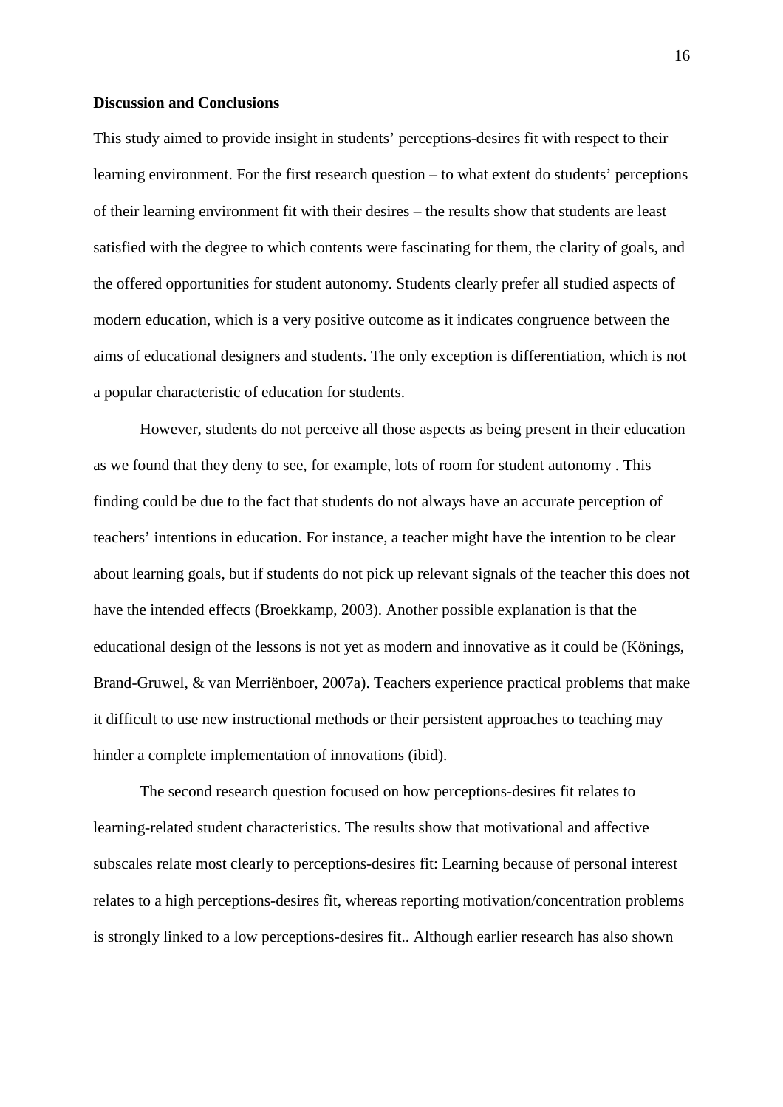### **Discussion and Conclusions**

This study aimed to provide insight in students' perceptions-desires fit with respect to their learning environment. For the first research question – to what extent do students' perceptions of their learning environment fit with their desires – the results show that students are least satisfied with the degree to which contents were fascinating for them, the clarity of goals, and the offered opportunities for student autonomy. Students clearly prefer all studied aspects of modern education, which is a very positive outcome as it indicates congruence between the aims of educational designers and students. The only exception is differentiation, which is not a popular characteristic of education for students.

However, students do not perceive all those aspects as being present in their education as we found that they deny to see, for example, lots of room for student autonomy . This finding could be due to the fact that students do not always have an accurate perception of teachers' intentions in education. For instance, a teacher might have the intention to be clear about learning goals, but if students do not pick up relevant signals of the teacher this does not have the intended effects (Broekkamp, 2003). Another possible explanation is that the educational design of the lessons is not yet as modern and innovative as it could be (Könings, Brand-Gruwel, & van Merriënboer, 2007a). Teachers experience practical problems that make it difficult to use new instructional methods or their persistent approaches to teaching may hinder a complete implementation of innovations (ibid).

The second research question focused on how perceptions-desires fit relates to learning-related student characteristics. The results show that motivational and affective subscales relate most clearly to perceptions-desires fit: Learning because of personal interest relates to a high perceptions-desires fit, whereas reporting motivation/concentration problems is strongly linked to a low perceptions-desires fit.. Although earlier research has also shown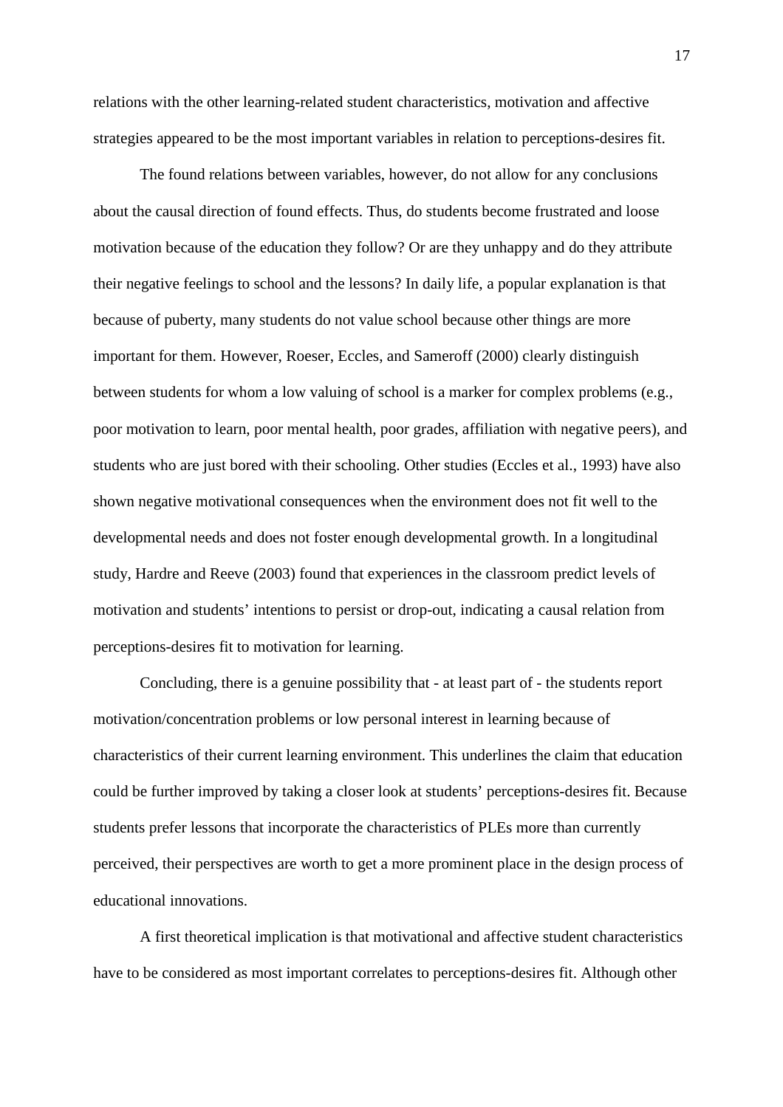relations with the other learning-related student characteristics, motivation and affective strategies appeared to be the most important variables in relation to perceptions-desires fit.

The found relations between variables, however, do not allow for any conclusions about the causal direction of found effects. Thus, do students become frustrated and loose motivation because of the education they follow? Or are they unhappy and do they attribute their negative feelings to school and the lessons? In daily life, a popular explanation is that because of puberty, many students do not value school because other things are more important for them. However, Roeser, Eccles, and Sameroff (2000) clearly distinguish between students for whom a low valuing of school is a marker for complex problems (e.g., poor motivation to learn, poor mental health, poor grades, affiliation with negative peers), and students who are just bored with their schooling. Other studies (Eccles et al., 1993) have also shown negative motivational consequences when the environment does not fit well to the developmental needs and does not foster enough developmental growth. In a longitudinal study, Hardre and Reeve (2003) found that experiences in the classroom predict levels of motivation and students' intentions to persist or drop-out, indicating a causal relation from perceptions-desires fit to motivation for learning.

Concluding, there is a genuine possibility that - at least part of - the students report motivation/concentration problems or low personal interest in learning because of characteristics of their current learning environment. This underlines the claim that education could be further improved by taking a closer look at students' perceptions-desires fit. Because students prefer lessons that incorporate the characteristics of PLEs more than currently perceived, their perspectives are worth to get a more prominent place in the design process of educational innovations.

A first theoretical implication is that motivational and affective student characteristics have to be considered as most important correlates to perceptions-desires fit. Although other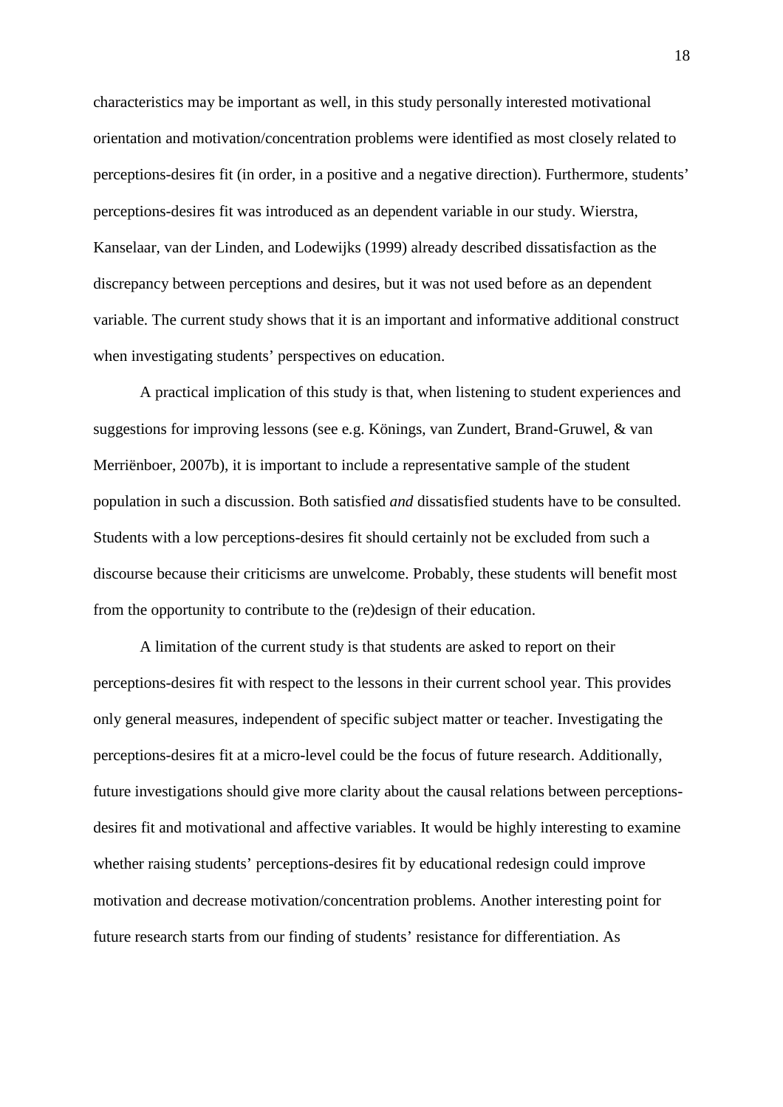characteristics may be important as well, in this study personally interested motivational orientation and motivation/concentration problems were identified as most closely related to perceptions-desires fit (in order, in a positive and a negative direction). Furthermore, students' perceptions-desires fit was introduced as an dependent variable in our study. Wierstra, Kanselaar, van der Linden, and Lodewijks (1999) already described dissatisfaction as the discrepancy between perceptions and desires, but it was not used before as an dependent variable. The current study shows that it is an important and informative additional construct when investigating students' perspectives on education.

A practical implication of this study is that, when listening to student experiences and suggestions for improving lessons (see e.g. Könings, van Zundert, Brand-Gruwel, & van Merriënboer, 2007b), it is important to include a representative sample of the student population in such a discussion. Both satisfied *and* dissatisfied students have to be consulted. Students with a low perceptions-desires fit should certainly not be excluded from such a discourse because their criticisms are unwelcome. Probably, these students will benefit most from the opportunity to contribute to the (re)design of their education.

A limitation of the current study is that students are asked to report on their perceptions-desires fit with respect to the lessons in their current school year. This provides only general measures, independent of specific subject matter or teacher. Investigating the perceptions-desires fit at a micro-level could be the focus of future research. Additionally, future investigations should give more clarity about the causal relations between perceptionsdesires fit and motivational and affective variables. It would be highly interesting to examine whether raising students' perceptions-desires fit by educational redesign could improve motivation and decrease motivation/concentration problems. Another interesting point for future research starts from our finding of students' resistance for differentiation. As

18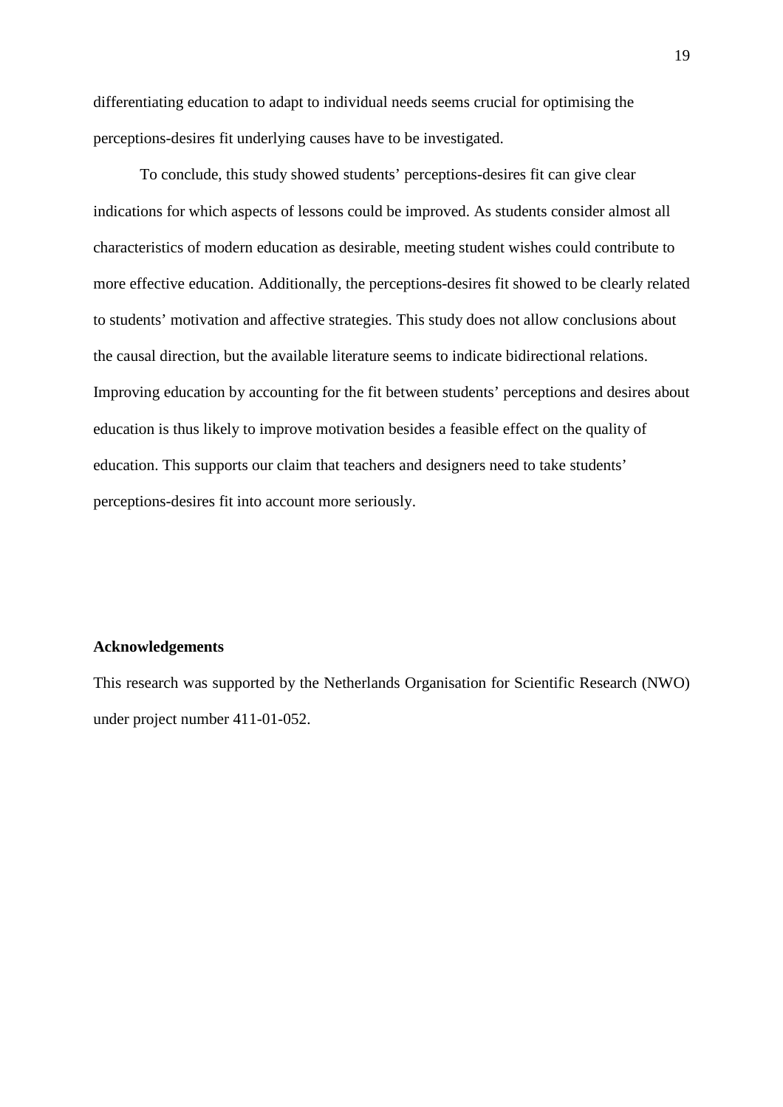differentiating education to adapt to individual needs seems crucial for optimising the perceptions-desires fit underlying causes have to be investigated.

To conclude, this study showed students' perceptions-desires fit can give clear indications for which aspects of lessons could be improved. As students consider almost all characteristics of modern education as desirable, meeting student wishes could contribute to more effective education. Additionally, the perceptions-desires fit showed to be clearly related to students' motivation and affective strategies. This study does not allow conclusions about the causal direction, but the available literature seems to indicate bidirectional relations. Improving education by accounting for the fit between students' perceptions and desires about education is thus likely to improve motivation besides a feasible effect on the quality of education. This supports our claim that teachers and designers need to take students' perceptions-desires fit into account more seriously.

#### **Acknowledgements**

This research was supported by the Netherlands Organisation for Scientific Research (NWO) under project number 411-01-052.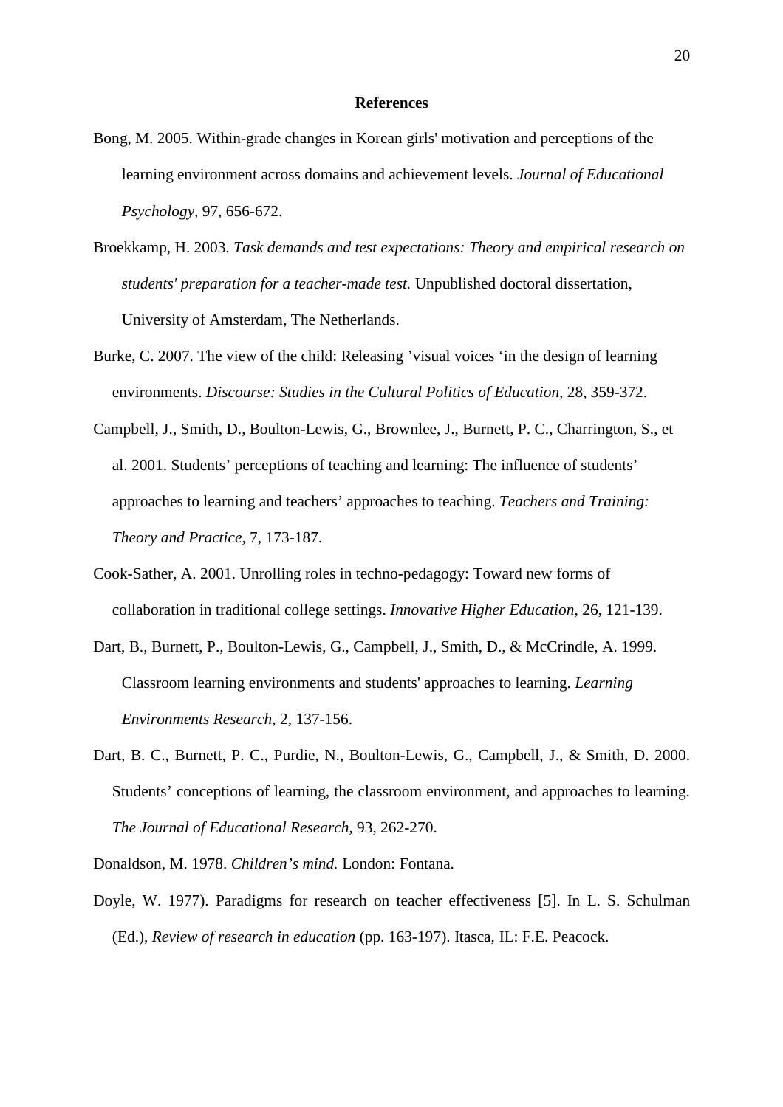#### **References**

- Bong, M. 2005. Within-grade changes in Korean girls' motivation and perceptions of the learning environment across domains and achievement levels. *Journal of Educational Psychology,* 97, 656-672.
- Broekkamp, H. 2003. *Task demands and test expectations: Theory and empirical research on students' preparation for a teacher-made test.* Unpublished doctoral dissertation, University of Amsterdam, The Netherlands.
- Burke, C. 2007. The view of the child: Releasing 'visual voices 'in the design of learning environments. *Discourse: Studies in the Cultural Politics of Education,* 28, 359-372.
- Campbell, J., Smith, D., Boulton-Lewis, G., Brownlee, J., Burnett, P. C., Charrington, S., et al. 2001. Students' perceptions of teaching and learning: The influence of students' approaches to learning and teachers' approaches to teaching. *Teachers and Training: Theory and Practice,* 7, 173-187.
- Cook-Sather, A. 2001. Unrolling roles in techno-pedagogy: Toward new forms of collaboration in traditional college settings. *Innovative Higher Education,* 26, 121-139.
- Dart, B., Burnett, P., Boulton-Lewis, G., Campbell, J., Smith, D., & McCrindle, A. 1999. Classroom learning environments and students' approaches to learning. *Learning Environments Research,* 2, 137-156.
- Dart, B. C., Burnett, P. C., Purdie, N., Boulton-Lewis, G., Campbell, J., & Smith, D. 2000. Students' conceptions of learning, the classroom environment, and approaches to learning. *The Journal of Educational Research,* 93, 262-270.

Donaldson, M. 1978. *Children's mind.* London: Fontana.

Doyle, W. 1977). Paradigms for research on teacher effectiveness [5]. In L. S. Schulman (Ed.), *Review of research in education* (pp. 163-197). Itasca, IL: F.E. Peacock.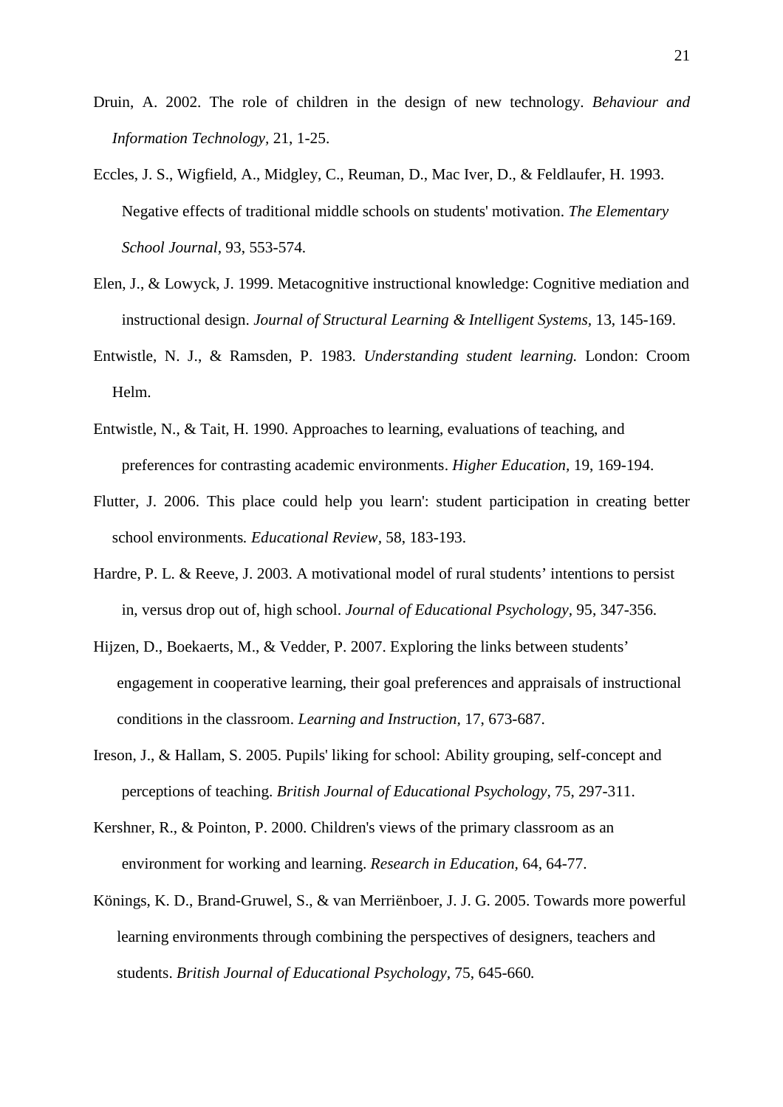- Druin, A. 2002. The role of children in the design of new technology. *Behaviour and Information Technology,* 21, 1-25.
- Eccles, J. S., Wigfield, A., Midgley, C., Reuman, D., Mac Iver, D., & Feldlaufer, H. 1993. Negative effects of traditional middle schools on students' motivation. *The Elementary School Journal,* 93, 553-574.
- Elen, J., & Lowyck, J. 1999. Metacognitive instructional knowledge: Cognitive mediation and instructional design. *Journal of Structural Learning & Intelligent Systems,* 13, 145-169.
- Entwistle, N. J., & Ramsden, P. 1983. *Understanding student learning.* London: Croom Helm.
- Entwistle, N., & Tait, H. 1990. Approaches to learning, evaluations of teaching, and preferences for contrasting academic environments. *Higher Education,* 19, 169-194.
- Flutter, J. 2006. This place could help you learn': student participation in creating better school environments*. Educational Review,* 58, 183-193.
- Hardre, P. L. & Reeve, J. 2003. A motivational model of rural students' intentions to persist in, versus drop out of, high school. *Journal of Educational Psychology,* 95, 347-356.
- Hijzen, D., Boekaerts, M., & Vedder, P. 2007. Exploring the links between students' engagement in cooperative learning, their goal preferences and appraisals of instructional conditions in the classroom. *Learning and Instruction,* 17, 673-687.
- Ireson, J., & Hallam, S. 2005. Pupils' liking for school: Ability grouping, self-concept and perceptions of teaching. *British Journal of Educational Psychology,* 75, 297-311.
- Kershner, R., & Pointon, P. 2000. Children's views of the primary classroom as an environment for working and learning. *Research in Education,* 64, 64-77.
- Könings, K. D., Brand-Gruwel, S., & van Merriënboer, J. J. G. 2005. Towards more powerful learning environments through combining the perspectives of designers, teachers and students. *British Journal of Educational Psychology,* 75, 645-660*.*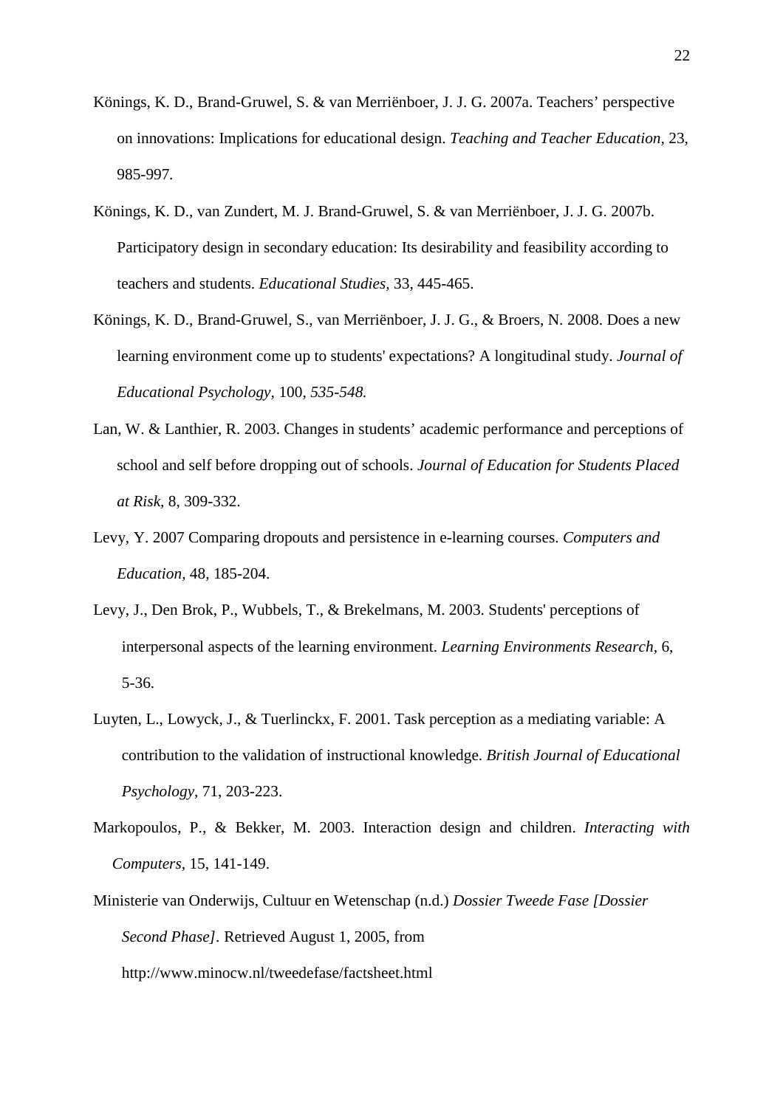- Könings, K. D., Brand-Gruwel, S. & van Merriënboer, J. J. G. 2007a. Teachers' perspective on innovations: Implications for educational design. *Teaching and Teacher Education,* 23, 985-997*.*
- Könings, K. D., van Zundert, M. J. Brand-Gruwel, S. & van Merriënboer, J. J. G. 2007b. Participatory design in secondary education: Its desirability and feasibility according to teachers and students. *Educational Studies,* 33, 445-465.
- Könings, K. D., Brand-Gruwel, S., van Merriënboer, J. J. G., & Broers, N. 2008. Does a new learning environment come up to students' expectations? A longitudinal study. *Journal of Educational Psychology,* 100, *535-548.*
- Lan, W. & Lanthier, R. 2003. Changes in students' academic performance and perceptions of school and self before dropping out of schools. *Journal of Education for Students Placed at Risk,* 8, 309-332.
- Levy, Y. 2007 Comparing dropouts and persistence in e-learning courses. *Computers and Education,* 48, 185-204.
- Levy, J., Den Brok, P., Wubbels, T., & Brekelmans, M. 2003. Students' perceptions of interpersonal aspects of the learning environment. *Learning Environments Research,* 6, 5-36.
- Luyten, L., Lowyck, J., & Tuerlinckx, F. 2001. Task perception as a mediating variable: A contribution to the validation of instructional knowledge. *British Journal of Educational Psychology,* 71, 203-223.
- Markopoulos, P., & Bekker, M. 2003. Interaction design and children. *Interacting with Computers,* 15, 141-149.
- Ministerie van Onderwijs, Cultuur en Wetenschap (n.d.) *Dossier Tweede Fase [Dossier Second Phase].* Retrieved August 1, 2005, from http://www.minocw.nl/tweedefase/factsheet.html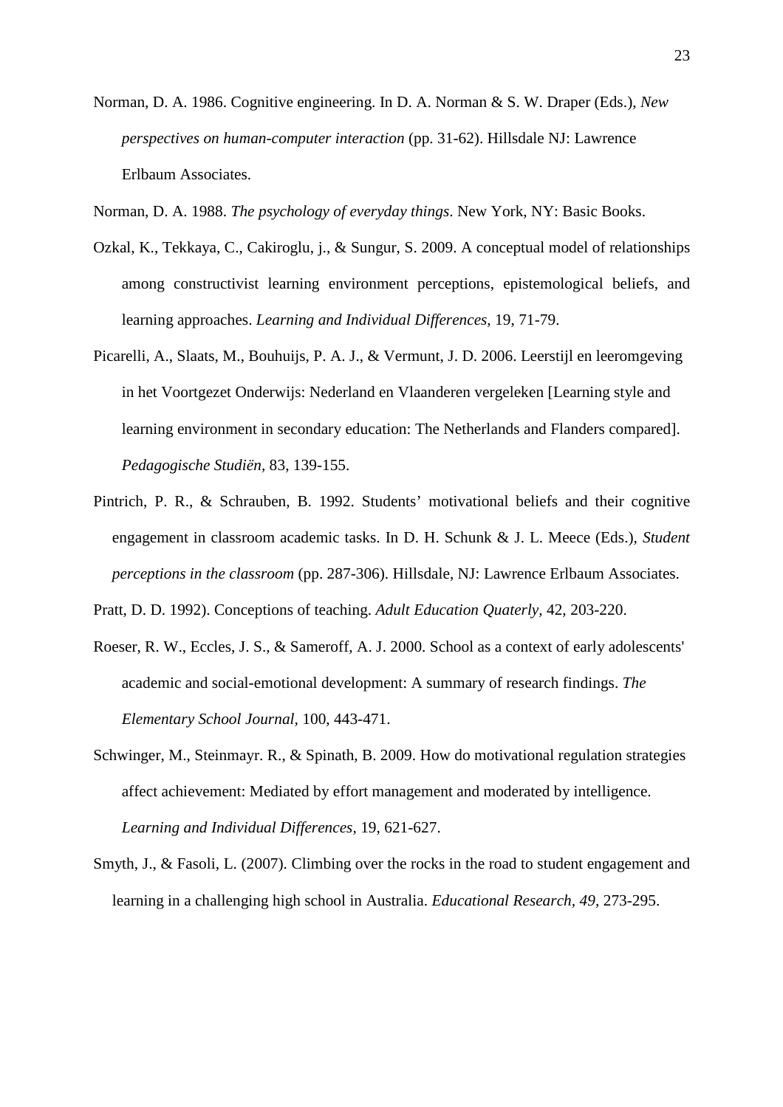- Norman, D. A. 1986. Cognitive engineering. In D. A. Norman & S. W. Draper (Eds.), *New perspectives on human-computer interaction* (pp. 31-62). Hillsdale NJ: Lawrence Erlbaum Associates.
- Norman, D. A. 1988. *The psychology of everyday things*. New York, NY: Basic Books.
- Ozkal, K., Tekkaya, C., Cakiroglu, j., & Sungur, S. 2009. A conceptual model of relationships among constructivist learning environment perceptions, epistemological beliefs, and learning approaches. *Learning and Individual Differences,* 19, 71-79.
- Picarelli, A., Slaats, M., Bouhuijs, P. A. J., & Vermunt, J. D. 2006. Leerstijl en leeromgeving in het Voortgezet Onderwijs: Nederland en Vlaanderen vergeleken [Learning style and learning environment in secondary education: The Netherlands and Flanders compared]. *Pedagogische Studiën,* 83, 139-155.
- Pintrich, P. R., & Schrauben, B. 1992. Students' motivational beliefs and their cognitive engagement in classroom academic tasks. In D. H. Schunk & J. L. Meece (Eds.), *Student perceptions in the classroom* (pp. 287-306). Hillsdale, NJ: Lawrence Erlbaum Associates.
- Pratt, D. D. 1992). Conceptions of teaching. *Adult Education Quaterly,* 42, 203-220.
- Roeser, R. W., Eccles, J. S., & Sameroff, A. J. 2000. School as a context of early adolescents' academic and social-emotional development: A summary of research findings. *The Elementary School Journal,* 100, 443-471.
- Schwinger, M., Steinmayr. R., & Spinath, B. 2009. How do motivational regulation strategies affect achievement: Mediated by effort management and moderated by intelligence. *Learning and Individual Differences,* 19, 621-627.
- Smyth, J., & Fasoli, L. (2007). Climbing over the rocks in the road to student engagement and learning in a challenging high school in Australia. *Educational Research, 49,* 273-295.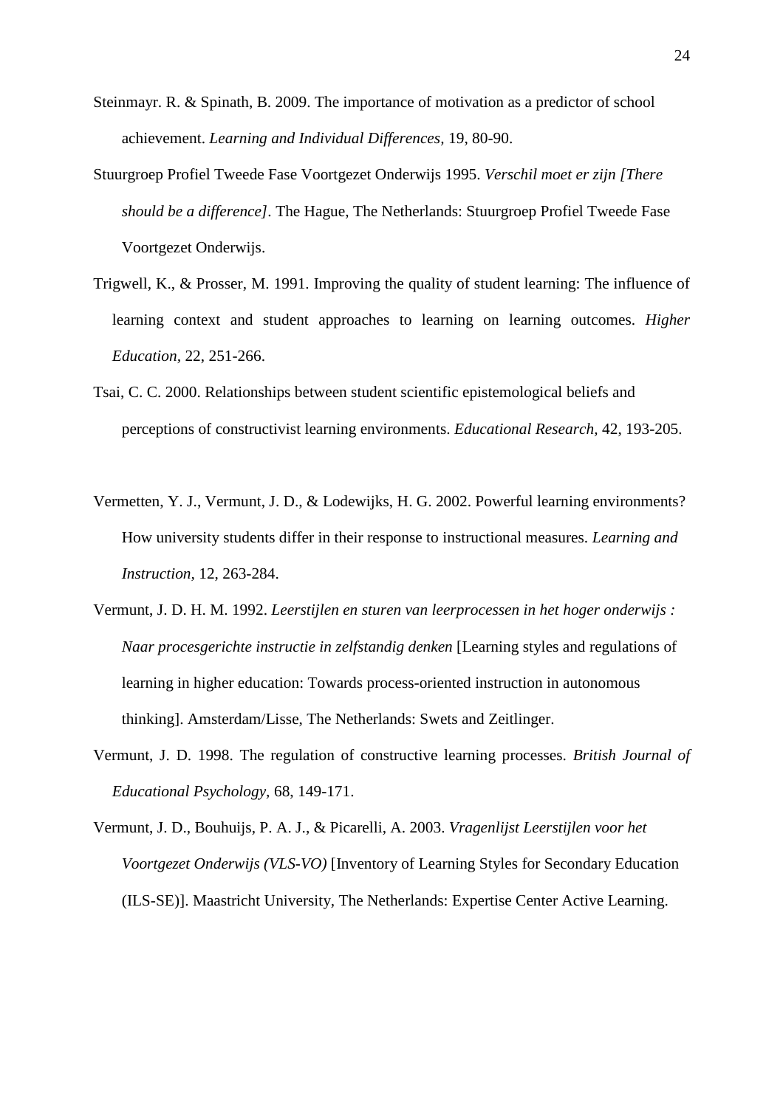- Steinmayr. R. & Spinath, B. 2009. The importance of motivation as a predictor of school achievement. *Learning and Individual Differences,* 19, 80-90.
- Stuurgroep Profiel Tweede Fase Voortgezet Onderwijs 1995. *Verschil moet er zijn [There should be a difference].* The Hague, The Netherlands: Stuurgroep Profiel Tweede Fase Voortgezet Onderwijs.
- Trigwell, K., & Prosser, M. 1991. Improving the quality of student learning: The influence of learning context and student approaches to learning on learning outcomes. *Higher Education,* 22, 251-266.
- Tsai, C. C. 2000. Relationships between student scientific epistemological beliefs and perceptions of constructivist learning environments. *Educational Research,* 42, 193-205.
- Vermetten, Y. J., Vermunt, J. D., & Lodewijks, H. G. 2002. Powerful learning environments? How university students differ in their response to instructional measures. *Learning and Instruction,* 12, 263-284.
- Vermunt, J. D. H. M. 1992. *Leerstijlen en sturen van leerprocessen in het hoger onderwijs : Naar procesgerichte instructie in zelfstandig denken* [Learning styles and regulations of learning in higher education: Towards process-oriented instruction in autonomous thinking]. Amsterdam/Lisse, The Netherlands: Swets and Zeitlinger.
- Vermunt, J. D. 1998. The regulation of constructive learning processes. *British Journal of Educational Psychology,* 68, 149-171.
- Vermunt, J. D., Bouhuijs, P. A. J., & Picarelli, A. 2003. *Vragenlijst Leerstijlen voor het Voortgezet Onderwijs (VLS-VO)* [Inventory of Learning Styles for Secondary Education (ILS-SE)]. Maastricht University, The Netherlands: Expertise Center Active Learning.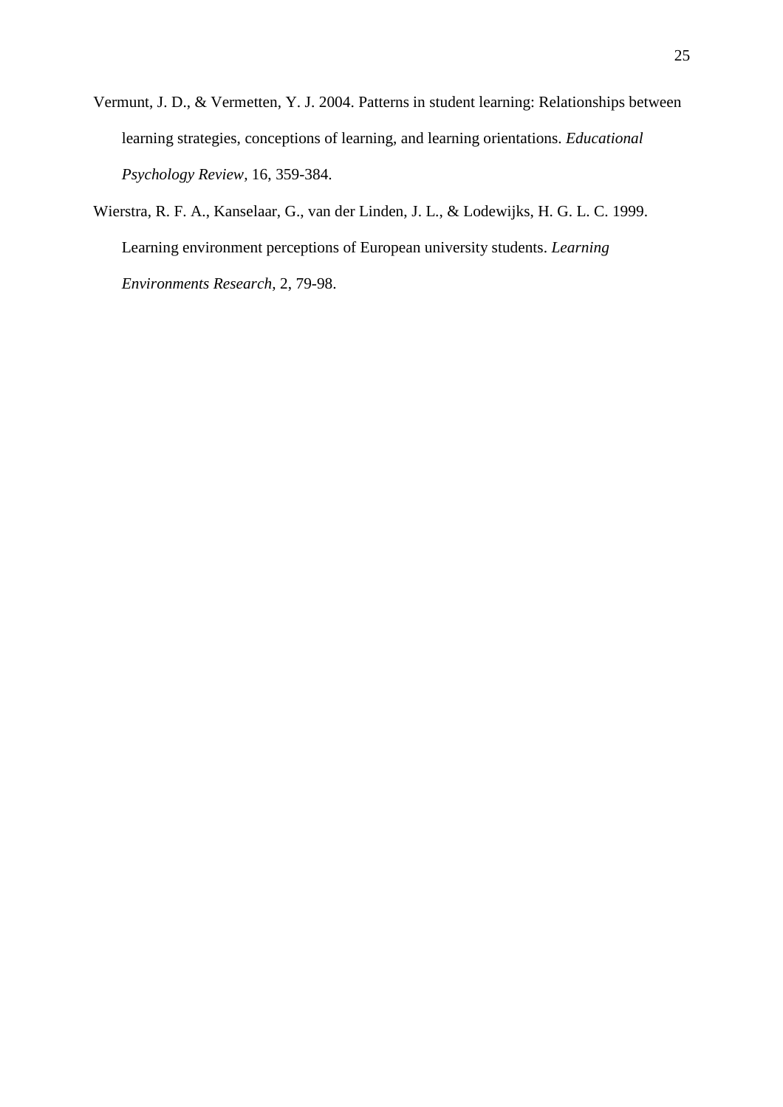- Vermunt, J. D., & Vermetten, Y. J. 2004. Patterns in student learning: Relationships between learning strategies, conceptions of learning, and learning orientations. *Educational Psychology Review,* 16, 359-384.
- Wierstra, R. F. A., Kanselaar, G., van der Linden, J. L., & Lodewijks, H. G. L. C. 1999. Learning environment perceptions of European university students. *Learning Environments Research,* 2, 79-98.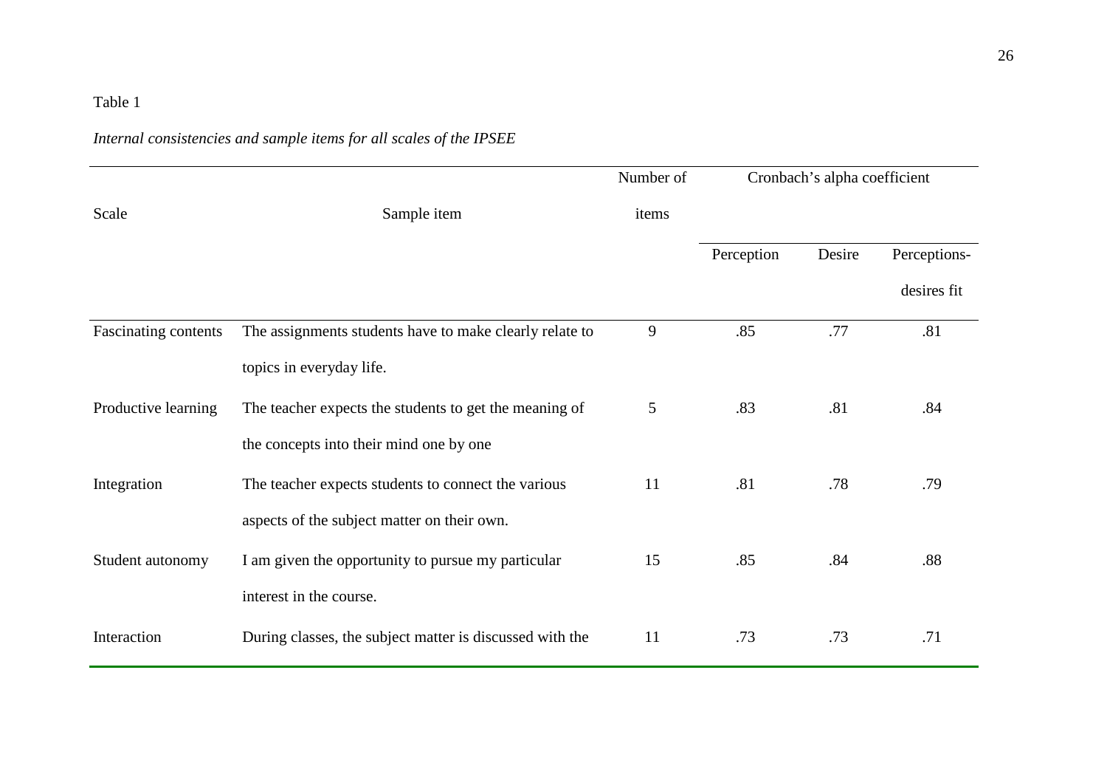## *Internal consistencies and sample items for all scales of the IPSEE*

|                      |                                                          | Number of | Cronbach's alpha coefficient |        |              |
|----------------------|----------------------------------------------------------|-----------|------------------------------|--------|--------------|
| Scale                | Sample item                                              | items     |                              |        |              |
|                      |                                                          |           | Perception                   | Desire | Perceptions- |
|                      |                                                          |           |                              |        | desires fit  |
| Fascinating contents | The assignments students have to make clearly relate to  | 9         | .85                          | .77    | .81          |
|                      | topics in everyday life.                                 |           |                              |        |              |
| Productive learning  | The teacher expects the students to get the meaning of   | 5         | .83                          | .81    | .84          |
|                      | the concepts into their mind one by one                  |           |                              |        |              |
| Integration          | The teacher expects students to connect the various      | 11        | .81                          | .78    | .79          |
|                      | aspects of the subject matter on their own.              |           |                              |        |              |
| Student autonomy     | I am given the opportunity to pursue my particular       | 15        | .85                          | .84    | .88          |
|                      | interest in the course.                                  |           |                              |        |              |
| Interaction          | During classes, the subject matter is discussed with the | 11        | .73                          | .73    | .71          |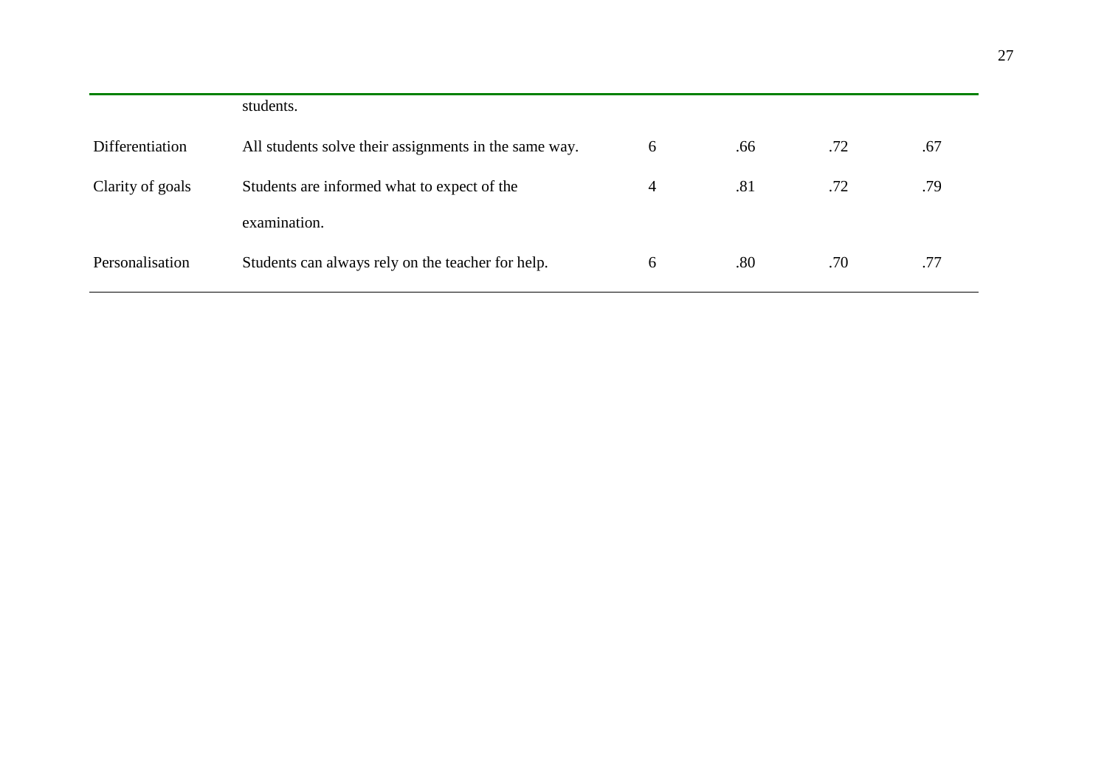|                  | students.                                             |   |     |     |     |
|------------------|-------------------------------------------------------|---|-----|-----|-----|
| Differentiation  | All students solve their assignments in the same way. | 6 | .66 | .72 | .67 |
| Clarity of goals | Students are informed what to expect of the           | 4 | .81 | .72 | .79 |
|                  | examination.                                          |   |     |     |     |
| Personalisation  | Students can always rely on the teacher for help.     | 6 | .80 | .70 | .77 |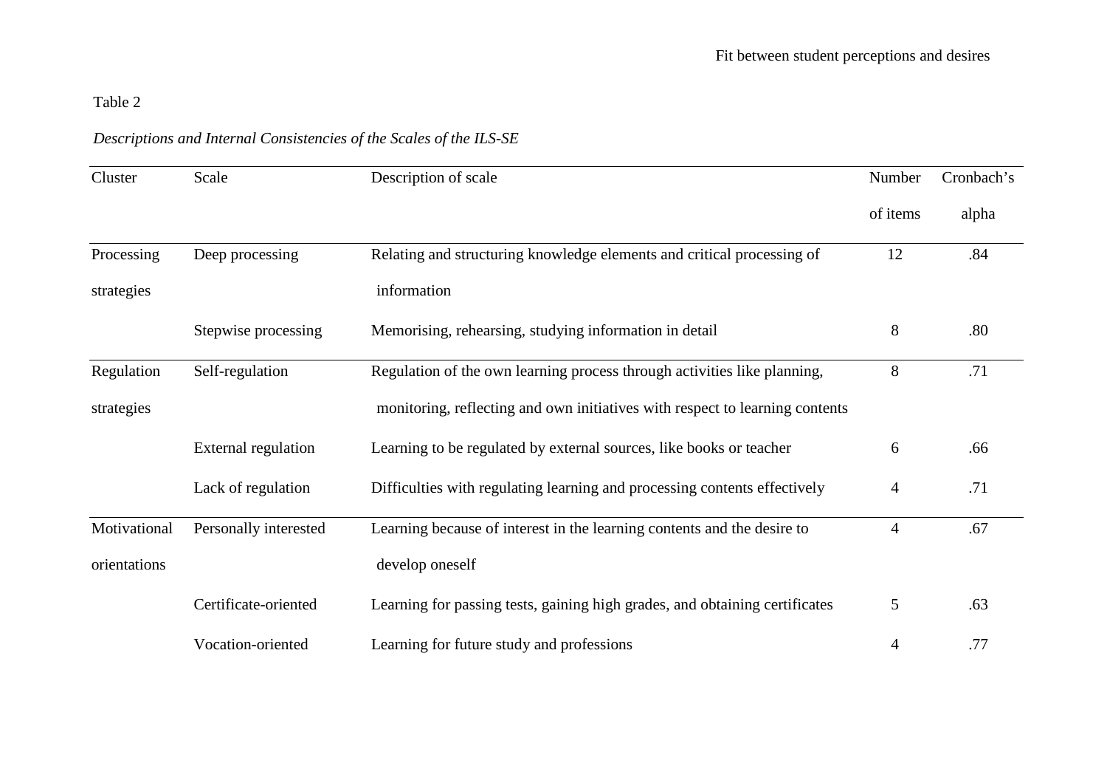## *Descriptions and Internal Consistencies of the Scales of the ILS-SE*

| Cluster      | Scale                 | Description of scale                                                         | Number         | Cronbach's |
|--------------|-----------------------|------------------------------------------------------------------------------|----------------|------------|
|              |                       |                                                                              | of items       | alpha      |
| Processing   | Deep processing       | Relating and structuring knowledge elements and critical processing of       | 12             | .84        |
| strategies   |                       | information                                                                  |                |            |
|              | Stepwise processing   | Memorising, rehearsing, studying information in detail                       | 8              | .80        |
| Regulation   | Self-regulation       | Regulation of the own learning process through activities like planning,     | 8              | .71        |
| strategies   |                       | monitoring, reflecting and own initiatives with respect to learning contents |                |            |
|              | External regulation   | Learning to be regulated by external sources, like books or teacher          | 6              | .66        |
|              | Lack of regulation    | Difficulties with regulating learning and processing contents effectively    | 4              | .71        |
| Motivational | Personally interested | Learning because of interest in the learning contents and the desire to      | $\overline{4}$ | .67        |
| orientations |                       | develop oneself                                                              |                |            |
|              | Certificate-oriented  | Learning for passing tests, gaining high grades, and obtaining certificates  | 5              | .63        |
|              | Vocation-oriented     | Learning for future study and professions                                    | 4              | .77        |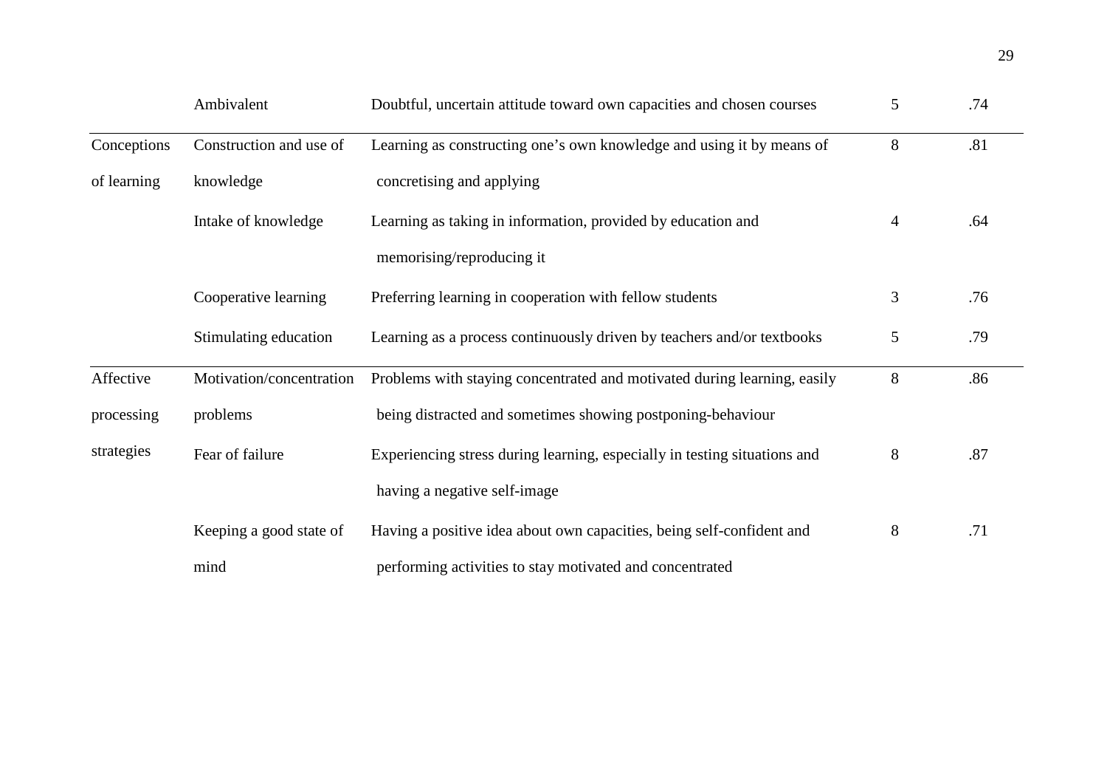|             | Ambivalent               | Doubtful, uncertain attitude toward own capacities and chosen courses     | 5              | .74 |
|-------------|--------------------------|---------------------------------------------------------------------------|----------------|-----|
| Conceptions | Construction and use of  | Learning as constructing one's own knowledge and using it by means of     | 8              | .81 |
| of learning | knowledge                | concretising and applying                                                 |                |     |
|             | Intake of knowledge      | Learning as taking in information, provided by education and              | $\overline{4}$ | .64 |
|             |                          | memorising/reproducing it                                                 |                |     |
|             | Cooperative learning     | Preferring learning in cooperation with fellow students                   | 3              | .76 |
|             | Stimulating education    | Learning as a process continuously driven by teachers and/or textbooks    | 5              | .79 |
| Affective   | Motivation/concentration | Problems with staying concentrated and motivated during learning, easily  | 8              | .86 |
| processing  | problems                 | being distracted and sometimes showing postponing-behaviour               |                |     |
| strategies  | Fear of failure          | Experiencing stress during learning, especially in testing situations and | 8              | .87 |
|             |                          | having a negative self-image                                              |                |     |
|             | Keeping a good state of  | Having a positive idea about own capacities, being self-confident and     | $8\,$          | .71 |
|             | mind                     | performing activities to stay motivated and concentrated                  |                |     |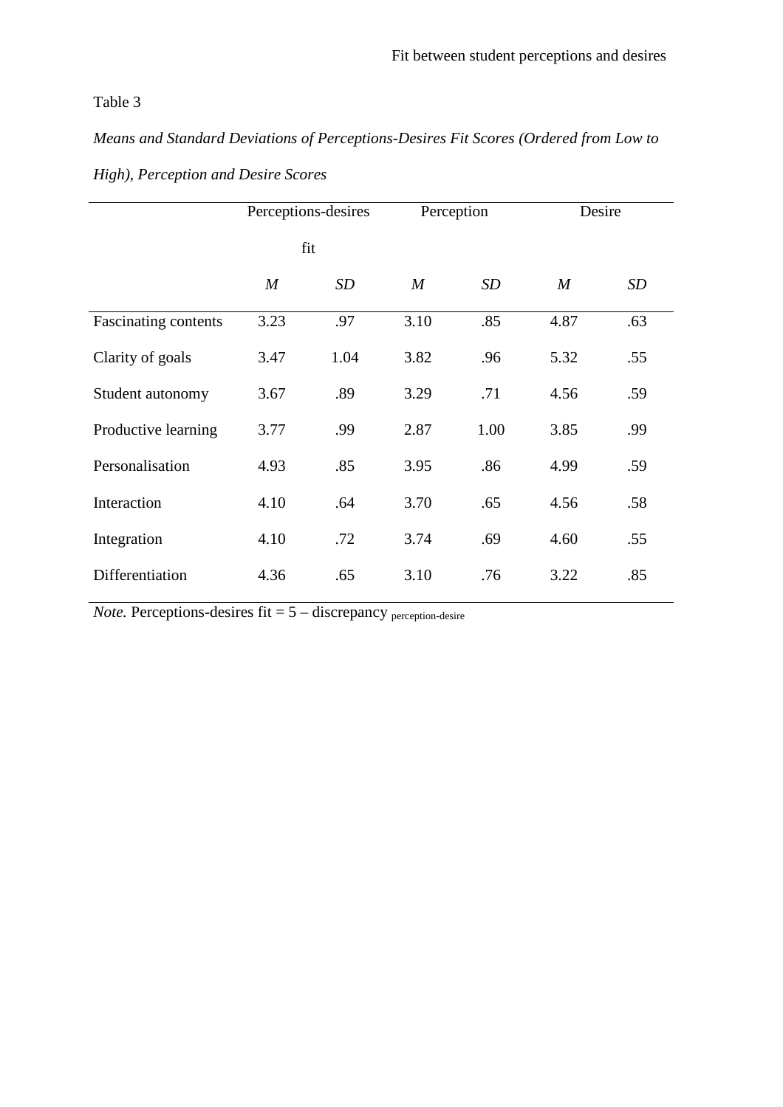*Means and Standard Deviations of Perceptions-Desires Fit Scores (Ordered from Low to* 

|                             | Perceptions-desires |      |                  | Perception | Desire           |     |
|-----------------------------|---------------------|------|------------------|------------|------------------|-----|
|                             | fit                 |      |                  |            |                  |     |
|                             | $\boldsymbol{M}$    | SD   | $\boldsymbol{M}$ | SD         | $\boldsymbol{M}$ | SD  |
| <b>Fascinating contents</b> | 3.23                | .97  | 3.10             | .85        | 4.87             | .63 |
| Clarity of goals            | 3.47                | 1.04 | 3.82             | .96        | 5.32             | .55 |
| Student autonomy            | 3.67                | .89  | 3.29             | .71        | 4.56             | .59 |
| Productive learning         | 3.77                | .99  | 2.87             | 1.00       | 3.85             | .99 |
| Personalisation             | 4.93                | .85  | 3.95             | .86        | 4.99             | .59 |
| Interaction                 | 4.10                | .64  | 3.70             | .65        | 4.56             | .58 |
| Integration                 | 4.10                | .72  | 3.74             | .69        | 4.60             | .55 |
| Differentiation             | 4.36                | .65  | 3.10             | .76        | 3.22             | .85 |

*High), Perception and Desire Scores* 

*Note.* Perceptions-desires fit  $= 5 -$  discrepancy perception-desire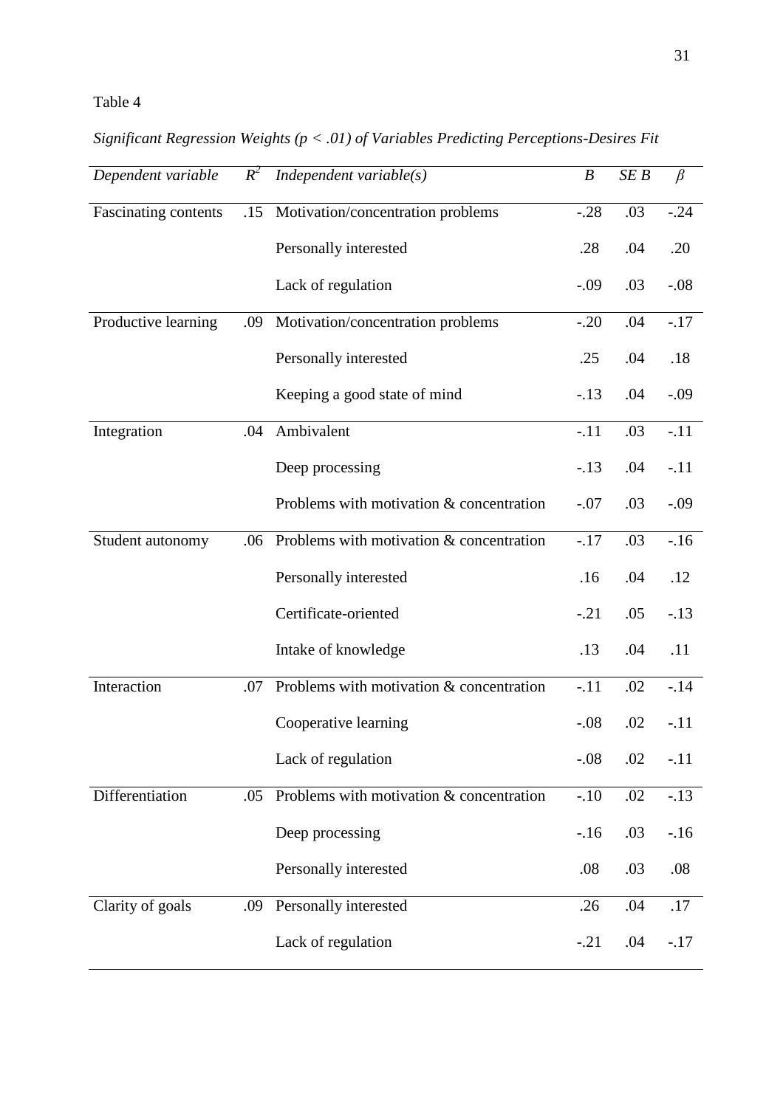*Significant Regression Weights (p < .01) of Variables Predicting Perceptions-Desires Fit* 

| Dependent variable   | $R^2$ | Independent variable $(s)$                 | $\boldsymbol{B}$ | SEB | $\beta$ |
|----------------------|-------|--------------------------------------------|------------------|-----|---------|
| Fascinating contents | .15   | Motivation/concentration problems          | $-.28$           | .03 | $-.24$  |
|                      |       | Personally interested                      | .28              | .04 | .20     |
|                      |       | Lack of regulation                         | $-0.09$          | .03 | $-.08$  |
| Productive learning  | .09   | Motivation/concentration problems          | $-.20$           | .04 | $-17$   |
|                      |       | Personally interested                      | .25              | .04 | .18     |
|                      |       | Keeping a good state of mind               | $-.13$           | .04 | $-.09$  |
| Integration          | .04   | Ambivalent                                 | $-.11$           | .03 | $-.11$  |
|                      |       | Deep processing                            | $-.13$           | .04 | $-.11$  |
|                      |       | Problems with motivation & concentration   | $-.07$           | .03 | $-.09$  |
| Student autonomy     | .06   | Problems with motivation & concentration   | $-.17$           | .03 | $-16$   |
|                      |       | Personally interested                      | .16              | .04 | .12     |
|                      |       | Certificate-oriented                       | $-.21$           | .05 | $-.13$  |
|                      |       | Intake of knowledge                        | .13              | .04 | .11     |
| Interaction          | .07   | Problems with motivation $&$ concentration | $-.11$           | .02 | $-.14$  |
|                      |       | Cooperative learning                       | $-.08$           | .02 | $-.11$  |
|                      |       | Lack of regulation                         | $-.08$           | .02 | $-.11$  |
| Differentiation      | .05   | Problems with motivation & concentration   | $-.10$           | .02 | $-.13$  |
|                      |       | Deep processing                            | $-.16$           | .03 | $-.16$  |
|                      |       | Personally interested                      | .08              | .03 | .08     |
| Clarity of goals     | .09   | Personally interested                      | .26              | .04 | .17     |
|                      |       | Lack of regulation                         | $-.21$           | .04 | $-.17$  |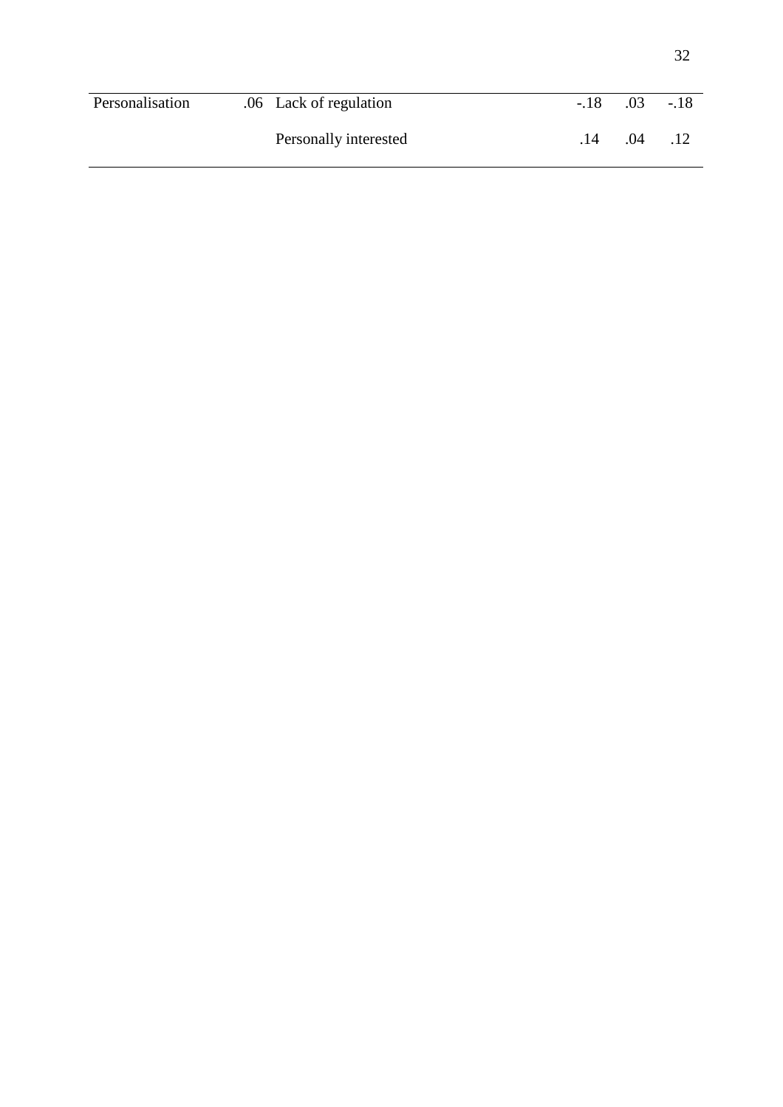| Personalisation | .06 Lack of regulation | $-.18$ | .03 | $-.18$ |
|-----------------|------------------------|--------|-----|--------|
|                 | Personally interested  | .14    | .04 |        |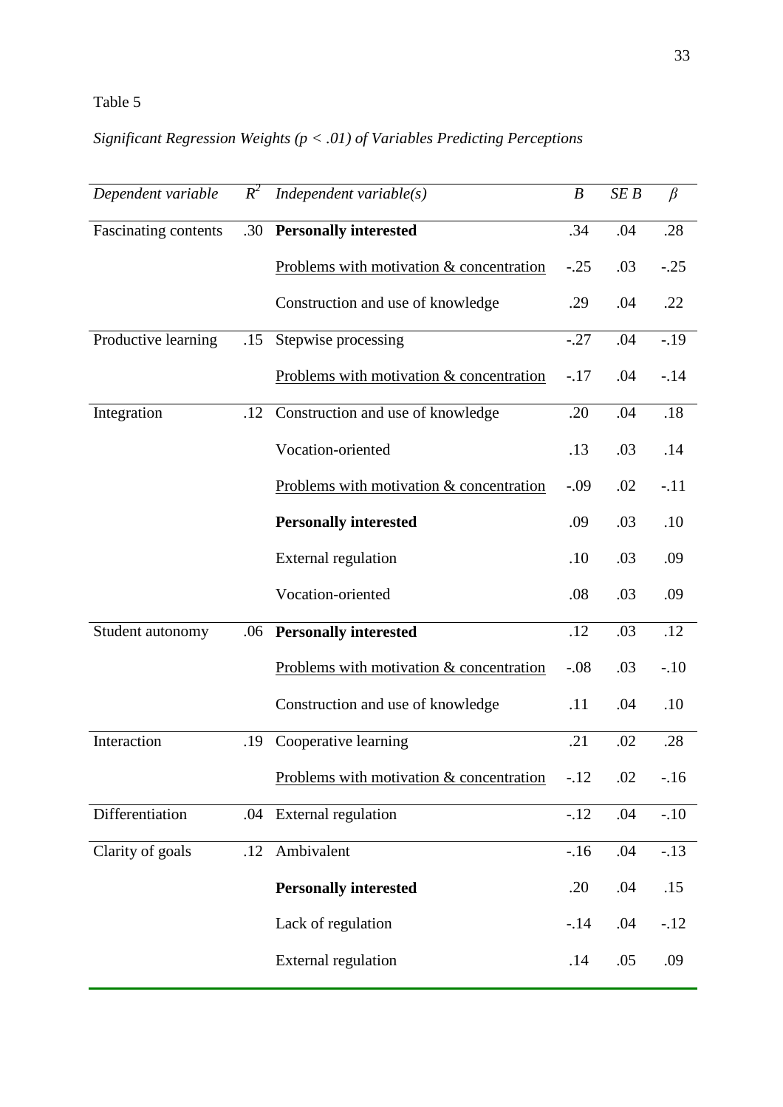# *Significant Regression Weights (p < .01) of Variables Predicting Perceptions*

| Dependent variable          | $R^2$ | Independent variable $(s)$               | $\boldsymbol{B}$ | SEB | $\beta$ |
|-----------------------------|-------|------------------------------------------|------------------|-----|---------|
| <b>Fascinating contents</b> | .30   | <b>Personally interested</b>             | .34              | .04 | .28     |
|                             |       | Problems with motivation & concentration | $-.25$           | .03 | $-.25$  |
|                             |       | Construction and use of knowledge        | .29              | .04 | .22     |
| Productive learning         | .15   | Stepwise processing                      | $-.27$           | .04 | $-.19$  |
|                             |       | Problems with motivation & concentration | $-.17$           | .04 | $-.14$  |
| Integration                 | .12   | Construction and use of knowledge        | .20              | .04 | .18     |
|                             |       | Vocation-oriented                        | .13              | .03 | .14     |
|                             |       | Problems with motivation & concentration | $-.09$           | .02 | $-.11$  |
|                             |       | <b>Personally interested</b>             | .09              | .03 | .10     |
|                             |       | <b>External regulation</b>               | .10              | .03 | .09     |
|                             |       | Vocation-oriented                        | .08              | .03 | .09     |
| Student autonomy            | .06   | <b>Personally interested</b>             | .12              | .03 | .12     |
|                             |       | Problems with motivation & concentration | $-.08$           | .03 | $-.10$  |
|                             |       | Construction and use of knowledge        | .11              | .04 | .10     |
| Interaction                 | .19   | Cooperative learning                     | .21              | .02 | .28     |
|                             |       | Problems with motivation & concentration | $-.12$           | .02 | $-.16$  |
| Differentiation             | .04   | External regulation                      | $-.12$           | .04 | $-.10$  |
| Clarity of goals            | .12   | Ambivalent                               | $-16$            | .04 | $-.13$  |
|                             |       | <b>Personally interested</b>             | .20              | .04 | .15     |
|                             |       | Lack of regulation                       | $-14$            | .04 | $-.12$  |
|                             |       | <b>External regulation</b>               | .14              | .05 | .09     |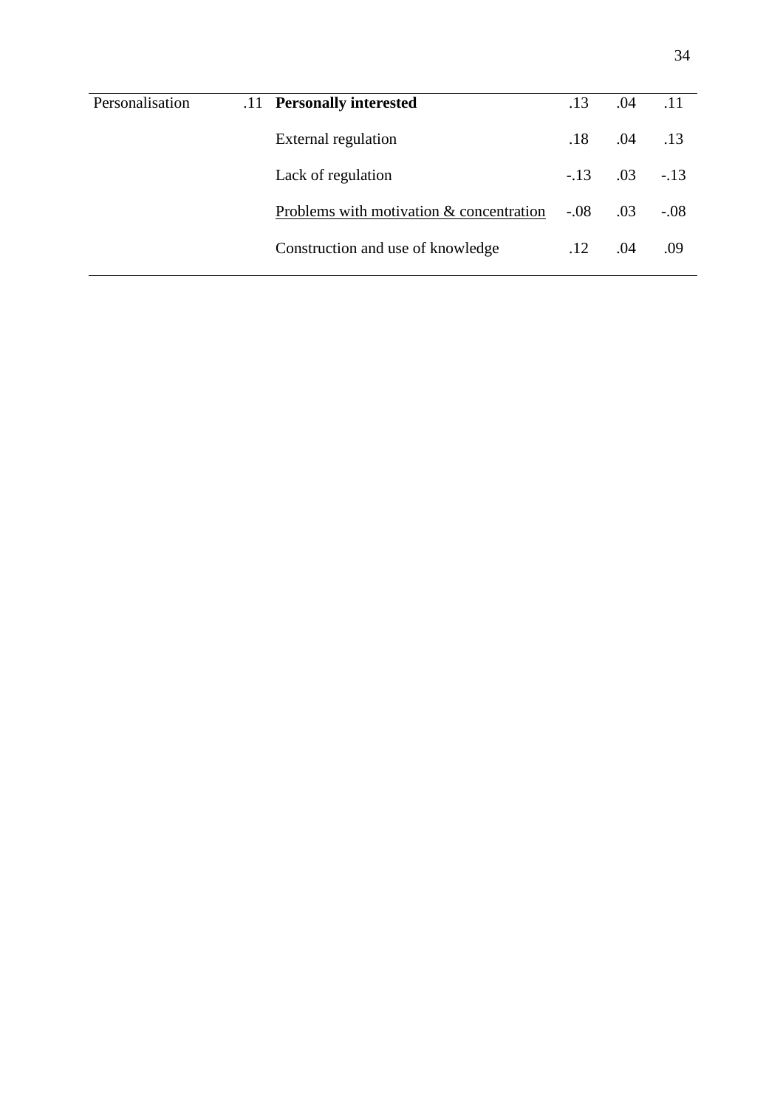| Personalisation | .11 Personally interested                | .13        | .04 | .11    |
|-----------------|------------------------------------------|------------|-----|--------|
|                 | External regulation                      | .18        | .04 | .13    |
|                 | Lack of regulation                       | $-.13-.03$ |     | $-.13$ |
|                 | Problems with motivation & concentration | $-.08$     | .03 | $-.08$ |
|                 | Construction and use of knowledge        | .12        | .04 | .09    |
|                 |                                          |            |     |        |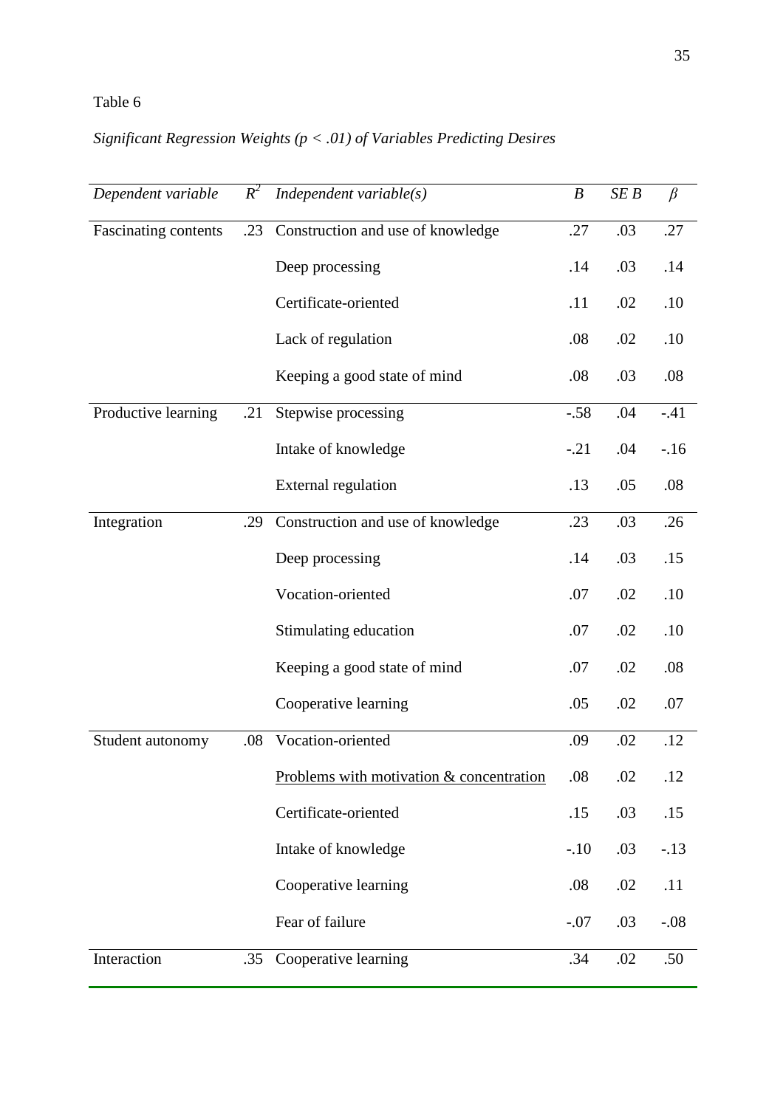# *Significant Regression Weights (p < .01) of Variables Predicting Desires*

| Dependent variable   | $R^2$ | Independent variable $(s)$               | $\boldsymbol{B}$ | SEB | $\beta$ |
|----------------------|-------|------------------------------------------|------------------|-----|---------|
| Fascinating contents | .23   | Construction and use of knowledge        | .27              | .03 | .27     |
|                      |       | Deep processing                          | .14              | .03 | .14     |
|                      |       | Certificate-oriented                     | .11              | .02 | .10     |
|                      |       | Lack of regulation                       | .08              | .02 | .10     |
|                      |       | Keeping a good state of mind             | .08              | .03 | .08     |
| Productive learning  | .21   | Stepwise processing                      | $-.58$           | .04 | $-.41$  |
|                      |       | Intake of knowledge                      | $-.21$           | .04 | $-.16$  |
|                      |       | <b>External regulation</b>               | .13              | .05 | .08     |
| Integration          | .29   | Construction and use of knowledge        | .23              | .03 | .26     |
|                      |       | Deep processing                          | .14              | .03 | .15     |
|                      |       | Vocation-oriented                        | .07              | .02 | .10     |
|                      |       | Stimulating education                    | .07              | .02 | .10     |
|                      |       | Keeping a good state of mind             | .07              | .02 | .08     |
|                      |       | Cooperative learning                     | .05              | .02 | .07     |
| Student autonomy     | .08   | Vocation-oriented                        | .09              | .02 | .12     |
|                      |       | Problems with motivation & concentration | .08              | .02 | .12     |
|                      |       | Certificate-oriented                     | .15              | .03 | .15     |
|                      |       | Intake of knowledge                      | $-.10$           | .03 | $-.13$  |
|                      |       | Cooperative learning                     | .08              | .02 | .11     |
|                      |       | Fear of failure                          | $-.07$           | .03 | $-.08$  |
| Interaction          | .35   | Cooperative learning                     | .34              | .02 | .50     |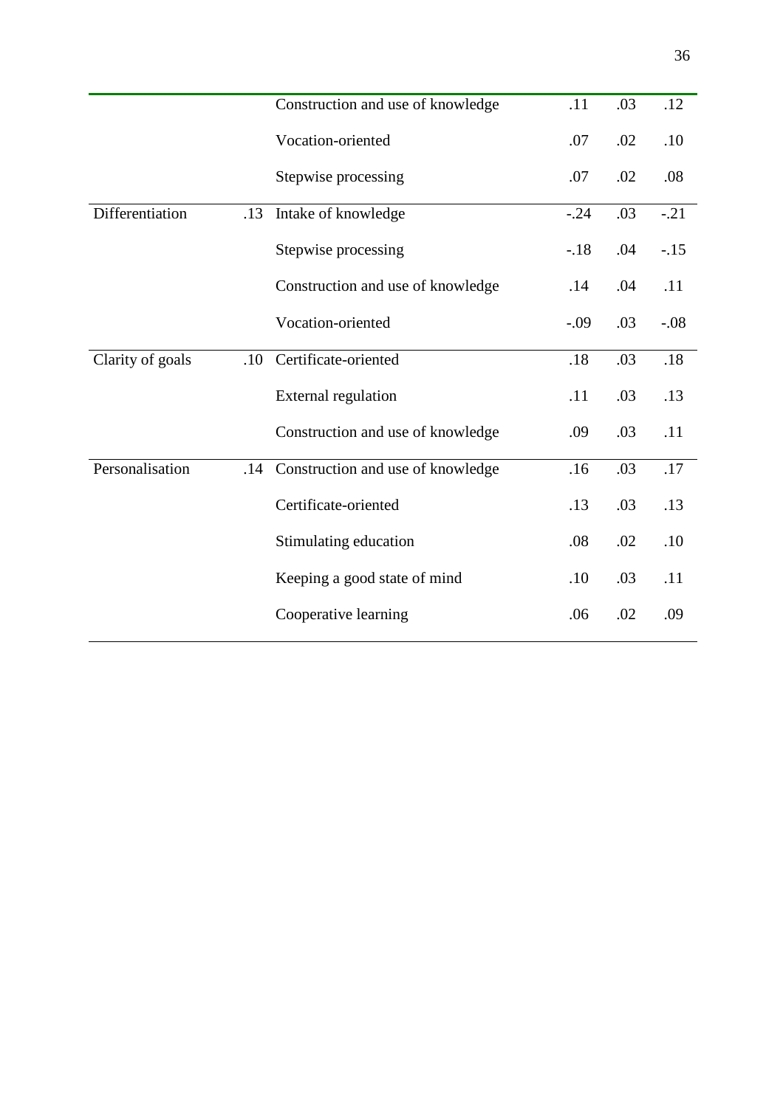|                  |     | Construction and use of knowledge | .11     | .03 | .12    |
|------------------|-----|-----------------------------------|---------|-----|--------|
|                  |     | Vocation-oriented                 | .07     | .02 | .10    |
|                  |     | Stepwise processing               | .07     | .02 | .08    |
| Differentiation  | .13 | Intake of knowledge               | $-.24$  | .03 | $-.21$ |
|                  |     | Stepwise processing               | $-18$   | .04 | $-.15$ |
|                  |     | Construction and use of knowledge | .14     | .04 | .11    |
|                  |     | Vocation-oriented                 | $-0.09$ | .03 | $-.08$ |
| Clarity of goals | .10 | Certificate-oriented              | .18     | .03 | $.18$  |
|                  |     | <b>External regulation</b>        | .11     | .03 | .13    |
|                  |     | Construction and use of knowledge | .09     | .03 | .11    |
| Personalisation  | .14 | Construction and use of knowledge | .16     | .03 | $.17$  |
|                  |     | Certificate-oriented              | .13     | .03 | .13    |
|                  |     | Stimulating education             | .08     | .02 | .10    |
|                  |     | Keeping a good state of mind      | .10     | .03 | .11    |
|                  |     | Cooperative learning              | .06     | .02 | .09    |
|                  |     |                                   |         |     |        |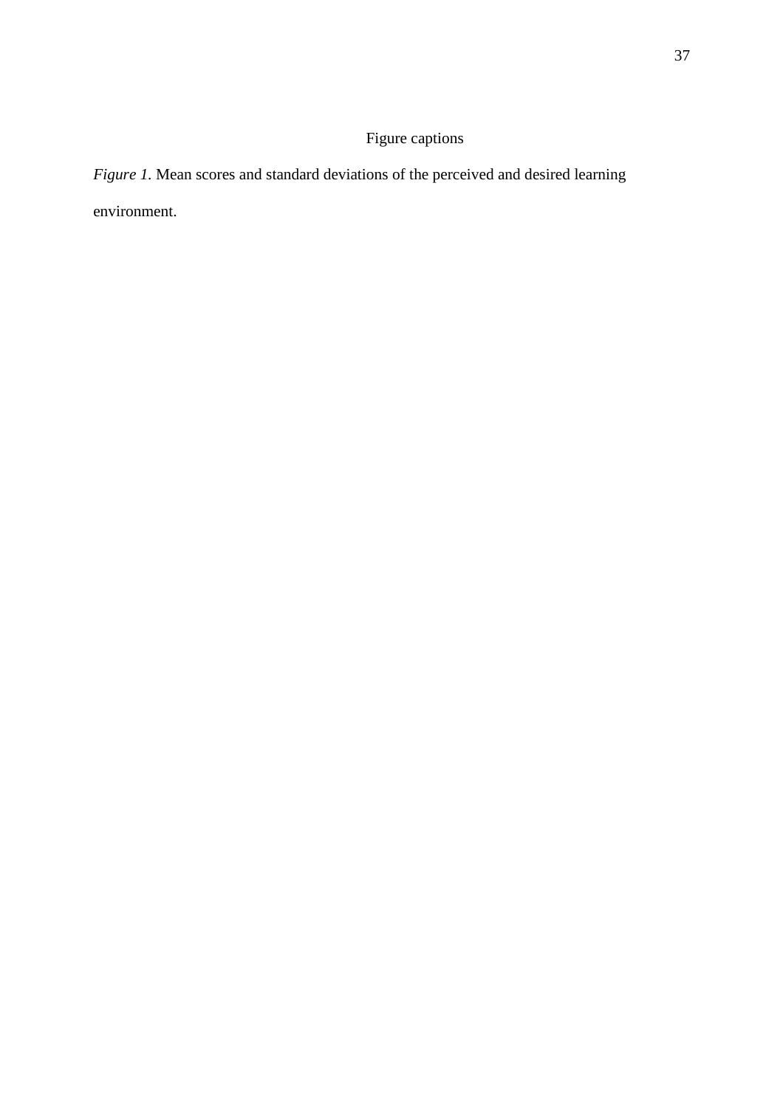## Figure captions

*Figure 1.* Mean scores and standard deviations of the perceived and desired learning environment.